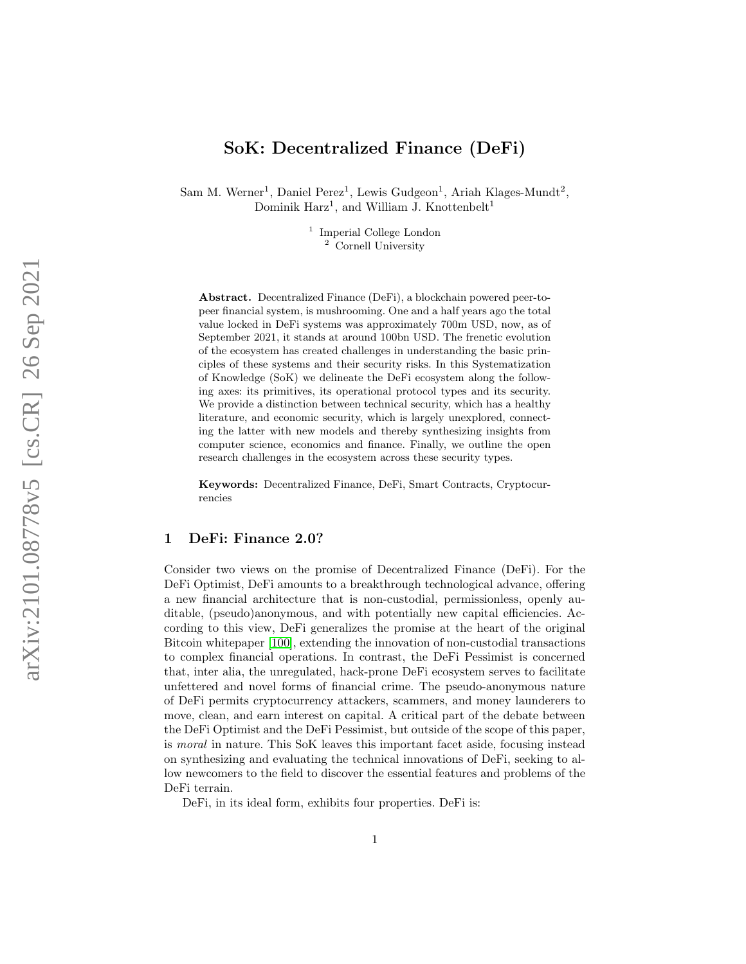# SoK: Decentralized Finance (DeFi)

Sam M. Werner<sup>1</sup>, Daniel Perez<sup>1</sup>, Lewis Gudgeon<sup>1</sup>, Ariah Klages-Mundt<sup>2</sup>, Dominik Harz<sup>1</sup>, and William J. Knottenbelt<sup>1</sup>

> <sup>1</sup> Imperial College London <sup>2</sup> Cornell University

Abstract. Decentralized Finance (DeFi), a blockchain powered peer-topeer financial system, is mushrooming. One and a half years ago the total value locked in DeFi systems was approximately 700m USD, now, as of September 2021, it stands at around 100bn USD. The frenetic evolution of the ecosystem has created challenges in understanding the basic principles of these systems and their security risks. In this Systematization of Knowledge (SoK) we delineate the DeFi ecosystem along the following axes: its primitives, its operational protocol types and its security. We provide a distinction between technical security, which has a healthy literature, and economic security, which is largely unexplored, connecting the latter with new models and thereby synthesizing insights from computer science, economics and finance. Finally, we outline the open research challenges in the ecosystem across these security types.

Keywords: Decentralized Finance, DeFi, Smart Contracts, Cryptocurrencies

### 1 DeFi: Finance 2.0?

Consider two views on the promise of Decentralized Finance (DeFi). For the DeFi Optimist, DeFi amounts to a breakthrough technological advance, offering a new financial architecture that is non-custodial, permissionless, openly auditable, (pseudo)anonymous, and with potentially new capital efficiencies. According to this view, DeFi generalizes the promise at the heart of the original Bitcoin whitepaper [\[100\]](#page-24-0), extending the innovation of non-custodial transactions to complex financial operations. In contrast, the DeFi Pessimist is concerned that, inter alia, the unregulated, hack-prone DeFi ecosystem serves to facilitate unfettered and novel forms of financial crime. The pseudo-anonymous nature of DeFi permits cryptocurrency attackers, scammers, and money launderers to move, clean, and earn interest on capital. A critical part of the debate between the DeFi Optimist and the DeFi Pessimist, but outside of the scope of this paper, is moral in nature. This SoK leaves this important facet aside, focusing instead on synthesizing and evaluating the technical innovations of DeFi, seeking to allow newcomers to the field to discover the essential features and problems of the DeFi terrain.

DeFi, in its ideal form, exhibits four properties. DeFi is: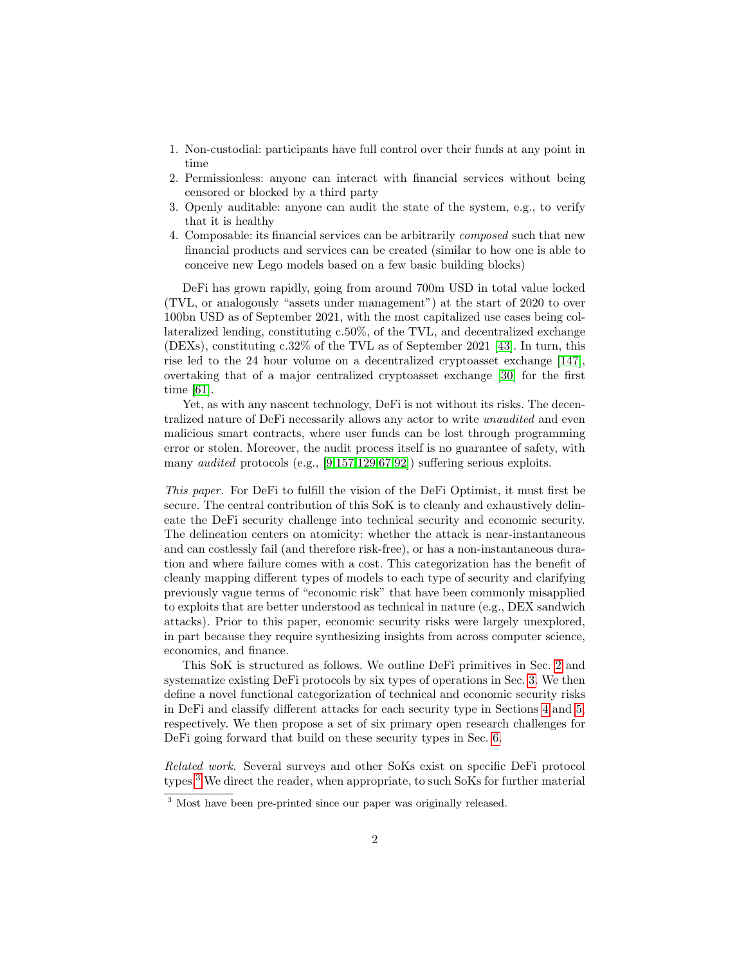- 1. Non-custodial: participants have full control over their funds at any point in time
- 2. Permissionless: anyone can interact with financial services without being censored or blocked by a third party
- 3. Openly auditable: anyone can audit the state of the system, e.g., to verify that it is healthy
- 4. Composable: its financial services can be arbitrarily composed such that new financial products and services can be created (similar to how one is able to conceive new Lego models based on a few basic building blocks)

DeFi has grown rapidly, going from around 700m USD in total value locked (TVL, or analogously "assets under management") at the start of 2020 to over 100bn USD as of September 2021, with the most capitalized use cases being collateralized lending, constituting c.50%, of the TVL, and decentralized exchange (DEXs), constituting c.32% of the TVL as of September 2021 [\[43\]](#page-22-0). In turn, this rise led to the 24 hour volume on a decentralized cryptoasset exchange [\[147\]](#page-27-0), overtaking that of a major centralized cryptoasset exchange [\[30\]](#page-21-0) for the first time [\[61\]](#page-22-1).

Yet, as with any nascent technology, DeFi is not without its risks. The decentralized nature of DeFi necessarily allows any actor to write unaudited and even malicious smart contracts, where user funds can be lost through programming error or stolen. Moreover, the audit process itself is no guarantee of safety, with many audited protocols (e.g., [\[9,](#page-20-0)[157,](#page-27-1)[129](#page-26-0)[,67,](#page-23-0)[92\]](#page-24-1)) suffering serious exploits.

This paper. For DeFi to fulfill the vision of the DeFi Optimist, it must first be secure. The central contribution of this SoK is to cleanly and exhaustively delineate the DeFi security challenge into technical security and economic security. The delineation centers on atomicity: whether the attack is near-instantaneous and can costlessly fail (and therefore risk-free), or has a non-instantaneous duration and where failure comes with a cost. This categorization has the benefit of cleanly mapping different types of models to each type of security and clarifying previously vague terms of "economic risk" that have been commonly misapplied to exploits that are better understood as technical in nature (e.g., DEX sandwich attacks). Prior to this paper, economic security risks were largely unexplored, in part because they require synthesizing insights from across computer science, economics, and finance.

This SoK is structured as follows. We outline DeFi primitives in Sec. [2](#page-2-0) and systematize existing DeFi protocols by six types of operations in Sec. [3.](#page-4-0) We then define a novel functional categorization of technical and economic security risks in DeFi and classify different attacks for each security type in Sections [4](#page-7-0) and [5,](#page-11-0) respectively. We then propose a set of six primary open research challenges for DeFi going forward that build on these security types in Sec. [6.](#page-16-0)

Related work. Several surveys and other SoKs exist on specific DeFi protocol types.[3](#page-1-0) We direct the reader, when appropriate, to such SoKs for further material

<span id="page-1-0"></span><sup>&</sup>lt;sup>3</sup> Most have been pre-printed since our paper was originally released.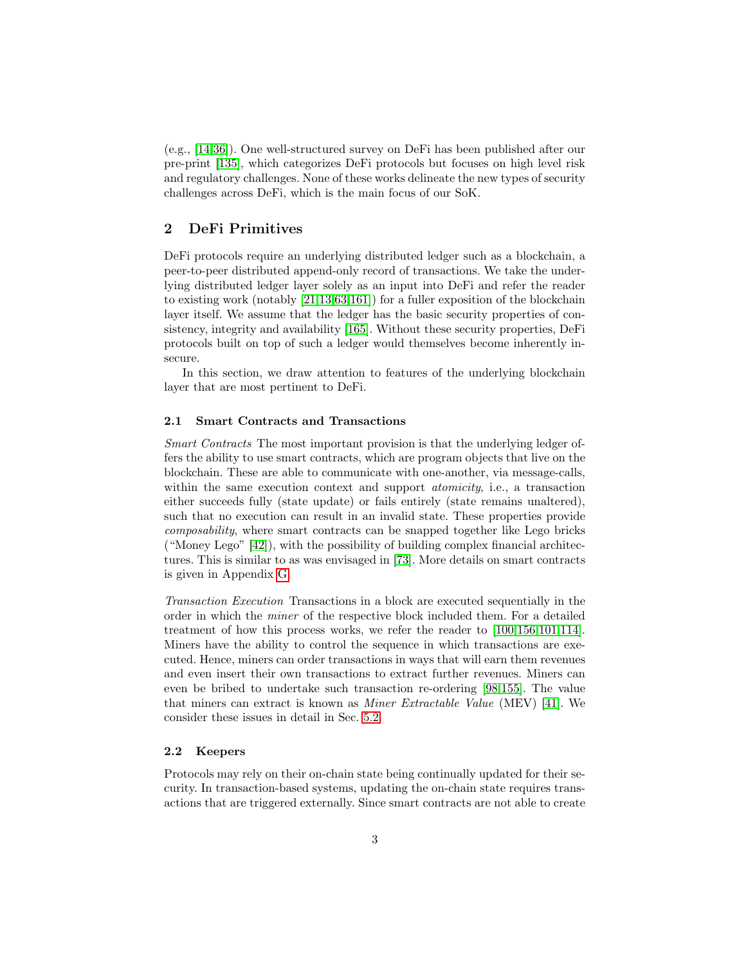(e.g., [\[14](#page-20-1)[,36\]](#page-21-1)). One well-structured survey on DeFi has been published after our pre-print [\[135\]](#page-26-1), which categorizes DeFi protocols but focuses on high level risk and regulatory challenges. None of these works delineate the new types of security challenges across DeFi, which is the main focus of our SoK.

# <span id="page-2-0"></span>2 DeFi Primitives

DeFi protocols require an underlying distributed ledger such as a blockchain, a peer-to-peer distributed append-only record of transactions. We take the underlying distributed ledger layer solely as an input into DeFi and refer the reader to existing work (notably [\[21](#page-21-2)[,13,](#page-20-2)[63,](#page-23-1)[161\]](#page-27-2)) for a fuller exposition of the blockchain layer itself. We assume that the ledger has the basic security properties of consistency, integrity and availability [\[165\]](#page-27-3). Without these security properties, DeFi protocols built on top of such a ledger would themselves become inherently insecure.

In this section, we draw attention to features of the underlying blockchain layer that are most pertinent to DeFi.

#### 2.1 Smart Contracts and Transactions

Smart Contracts The most important provision is that the underlying ledger offers the ability to use smart contracts, which are program objects that live on the blockchain. These are able to communicate with one-another, via message-calls, within the same execution context and support *atomicity*, i.e., a transaction either succeeds fully (state update) or fails entirely (state remains unaltered), such that no execution can result in an invalid state. These properties provide composability, where smart contracts can be snapped together like Lego bricks ("Money Lego"  $[42]$ ), with the possibility of building complex financial architectures. This is similar to as was envisaged in [\[73\]](#page-23-2). More details on smart contracts is given in Appendix [G.](#page-32-0)

Transaction Execution Transactions in a block are executed sequentially in the order in which the miner of the respective block included them. For a detailed treatment of how this process works, we refer the reader to [\[100,](#page-24-0)[156,](#page-27-4)[101,](#page-24-2)[114\]](#page-25-0). Miners have the ability to control the sequence in which transactions are executed. Hence, miners can order transactions in ways that will earn them revenues and even insert their own transactions to extract further revenues. Miners can even be bribed to undertake such transaction re-ordering [\[98,](#page-24-3)[155\]](#page-27-5). The value that miners can extract is known as Miner Extractable Value (MEV) [\[41\]](#page-22-3). We consider these issues in detail in Sec. [5.2.](#page-13-0)

#### 2.2 Keepers

Protocols may rely on their on-chain state being continually updated for their security. In transaction-based systems, updating the on-chain state requires transactions that are triggered externally. Since smart contracts are not able to create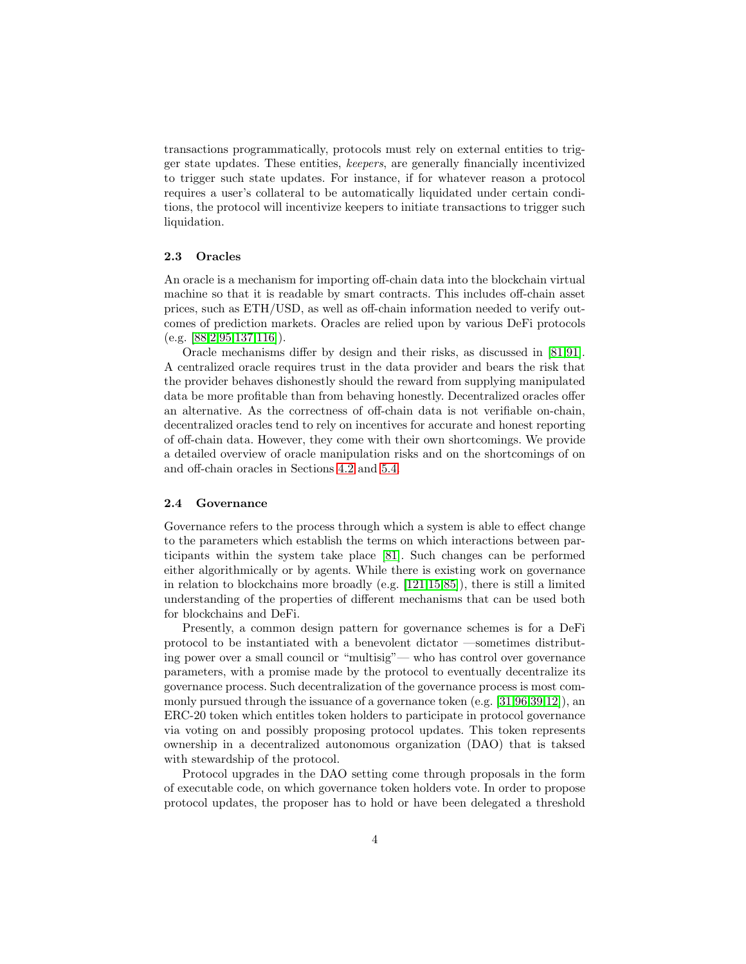transactions programmatically, protocols must rely on external entities to trigger state updates. These entities, keepers, are generally financially incentivized to trigger such state updates. For instance, if for whatever reason a protocol requires a user's collateral to be automatically liquidated under certain conditions, the protocol will incentivize keepers to initiate transactions to trigger such liquidation.

#### 2.3 Oracles

An oracle is a mechanism for importing off-chain data into the blockchain virtual machine so that it is readable by smart contracts. This includes off-chain asset prices, such as ETH/USD, as well as off-chain information needed to verify outcomes of prediction markets. Oracles are relied upon by various DeFi protocols  $(e.g. [88, 2.95, 137, 116]).$  $(e.g. [88, 2.95, 137, 116]).$  $(e.g. [88, 2.95, 137, 116]).$  $(e.g. [88, 2.95, 137, 116]).$  $(e.g. [88, 2.95, 137, 116]).$  $(e.g. [88, 2.95, 137, 116]).$  $(e.g. [88, 2.95, 137, 116]).$  $(e.g. [88, 2.95, 137, 116]).$  $(e.g. [88, 2.95, 137, 116]).$ 

Oracle mechanisms differ by design and their risks, as discussed in [\[81,](#page-24-6)[91\]](#page-24-7). A centralized oracle requires trust in the data provider and bears the risk that the provider behaves dishonestly should the reward from supplying manipulated data be more profitable than from behaving honestly. Decentralized oracles offer an alternative. As the correctness of off-chain data is not verifiable on-chain, decentralized oracles tend to rely on incentives for accurate and honest reporting of off-chain data. However, they come with their own shortcomings. We provide a detailed overview of oracle manipulation risks and on the shortcomings of on and off-chain oracles in Sections [4.2](#page-9-0) and [5.4.](#page-15-0)

#### 2.4 Governance

Governance refers to the process through which a system is able to effect change to the parameters which establish the terms on which interactions between participants within the system take place [\[81\]](#page-24-6). Such changes can be performed either algorithmically or by agents. While there is existing work on governance in relation to blockchains more broadly (e.g.  $[121, 15, 85]$  $[121, 15, 85]$  $[121, 15, 85]$  $[121, 15, 85]$  $[121, 15, 85]$ ), there is still a limited understanding of the properties of different mechanisms that can be used both for blockchains and DeFi.

Presently, a common design pattern for governance schemes is for a DeFi protocol to be instantiated with a benevolent dictator —sometimes distributing power over a small council or "multisig"— who has control over governance parameters, with a promise made by the protocol to eventually decentralize its governance process. Such decentralization of the governance process is most commonly pursued through the issuance of a governance token (e.g. [\[31,](#page-21-3)[96,](#page-24-9)[39,](#page-21-4)[12\]](#page-20-5)), an ERC-20 token which entitles token holders to participate in protocol governance via voting on and possibly proposing protocol updates. This token represents ownership in a decentralized autonomous organization (DAO) that is taksed with stewardship of the protocol.

Protocol upgrades in the DAO setting come through proposals in the form of executable code, on which governance token holders vote. In order to propose protocol updates, the proposer has to hold or have been delegated a threshold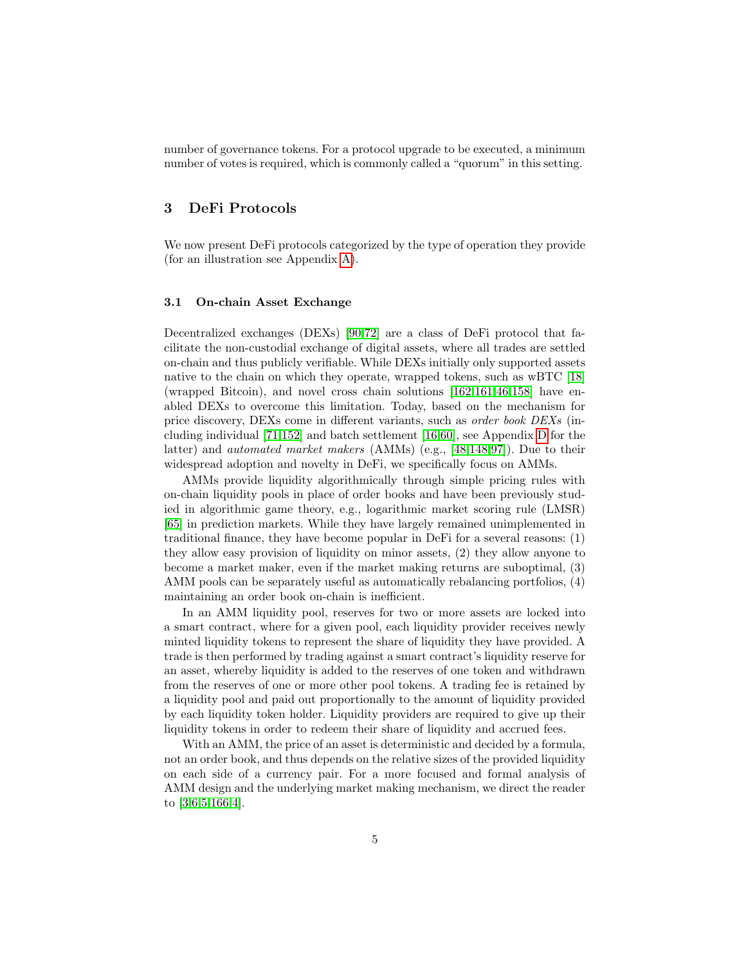number of governance tokens. For a protocol upgrade to be executed, a minimum number of votes is required, which is commonly called a "quorum" in this setting.

## <span id="page-4-0"></span>3 DeFi Protocols

We now present DeFi protocols categorized by the type of operation they provide (for an illustration see Appendix [A\)](#page-28-0).

### 3.1 On-chain Asset Exchange

Decentralized exchanges (DEXs) [\[90](#page-24-10)[,72\]](#page-23-3) are a class of DeFi protocol that facilitate the non-custodial exchange of digital assets, where all trades are settled on-chain and thus publicly verifiable. While DEXs initially only supported assets native to the chain on which they operate, wrapped tokens, such as wBTC [\[18\]](#page-21-5) (wrapped Bitcoin), and novel cross chain solutions [\[162,](#page-27-6)[161,](#page-27-2)[46](#page-22-4)[,158\]](#page-27-7) have enabled DEXs to overcome this limitation. Today, based on the mechanism for price discovery, DEXs come in different variants, such as order book DEXs (including individual [\[71](#page-23-4)[,152\]](#page-27-8) and batch settlement [\[16,](#page-20-6)[60\]](#page-22-5), see Appendix [D](#page-31-0) for the latter) and automated market makers (AMMs) (e.g., [\[48,](#page-22-6)[148](#page-27-9)[,97\]](#page-24-11)). Due to their widespread adoption and novelty in DeFi, we specifically focus on AMMs.

AMMs provide liquidity algorithmically through simple pricing rules with on-chain liquidity pools in place of order books and have been previously studied in algorithmic game theory, e.g., logarithmic market scoring rule (LMSR) [\[65\]](#page-23-5) in prediction markets. While they have largely remained unimplemented in traditional finance, they have become popular in DeFi for a several reasons: (1) they allow easy provision of liquidity on minor assets, (2) they allow anyone to become a market maker, even if the market making returns are suboptimal, (3) AMM pools can be separately useful as automatically rebalancing portfolios, (4) maintaining an order book on-chain is inefficient.

In an AMM liquidity pool, reserves for two or more assets are locked into a smart contract, where for a given pool, each liquidity provider receives newly minted liquidity tokens to represent the share of liquidity they have provided. A trade is then performed by trading against a smart contract's liquidity reserve for an asset, whereby liquidity is added to the reserves of one token and withdrawn from the reserves of one or more other pool tokens. A trading fee is retained by a liquidity pool and paid out proportionally to the amount of liquidity provided by each liquidity token holder. Liquidity providers are required to give up their liquidity tokens in order to redeem their share of liquidity and accrued fees.

With an AMM, the price of an asset is deterministic and decided by a formula, not an order book, and thus depends on the relative sizes of the provided liquidity on each side of a currency pair. For a more focused and formal analysis of AMM design and the underlying market making mechanism, we direct the reader to [\[3](#page-20-7)[,6](#page-20-8)[,5](#page-20-9)[,166,](#page-27-10)[4\]](#page-20-10).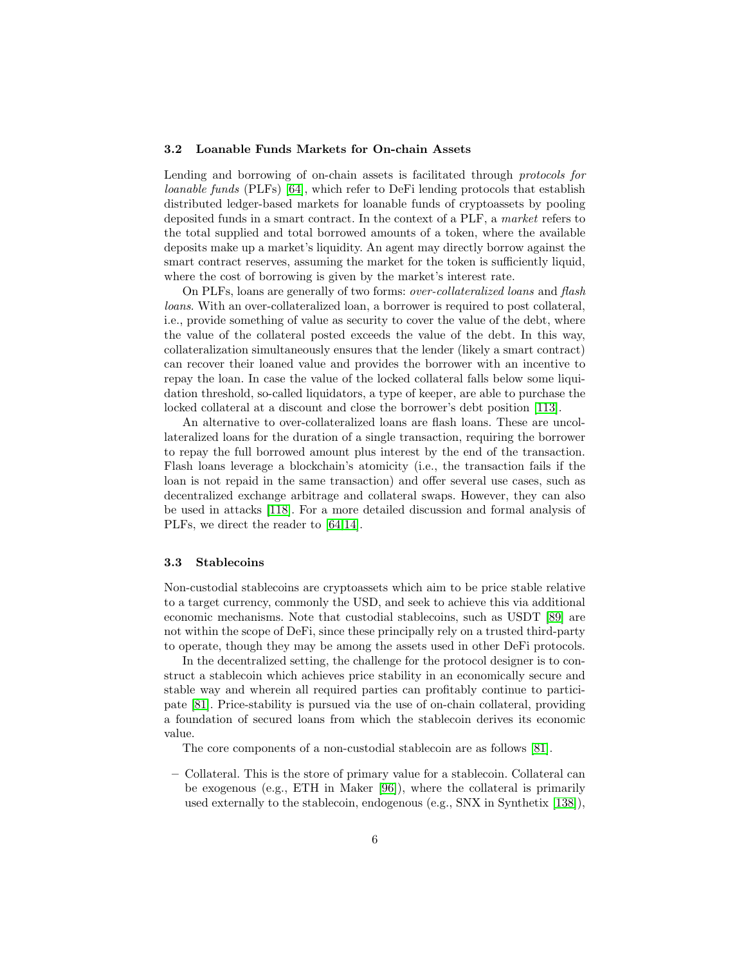#### 3.2 Loanable Funds Markets for On-chain Assets

Lending and borrowing of on-chain assets is facilitated through protocols for loanable funds (PLFs) [\[64\]](#page-23-6), which refer to DeFi lending protocols that establish distributed ledger-based markets for loanable funds of cryptoassets by pooling deposited funds in a smart contract. In the context of a PLF, a market refers to the total supplied and total borrowed amounts of a token, where the available deposits make up a market's liquidity. An agent may directly borrow against the smart contract reserves, assuming the market for the token is sufficiently liquid, where the cost of borrowing is given by the market's interest rate.

On PLFs, loans are generally of two forms: over-collateralized loans and flash loans. With an over-collateralized loan, a borrower is required to post collateral, i.e., provide something of value as security to cover the value of the debt, where the value of the collateral posted exceeds the value of the debt. In this way, collateralization simultaneously ensures that the lender (likely a smart contract) can recover their loaned value and provides the borrower with an incentive to repay the loan. In case the value of the locked collateral falls below some liquidation threshold, so-called liquidators, a type of keeper, are able to purchase the locked collateral at a discount and close the borrower's debt position [\[113\]](#page-25-3).

An alternative to over-collateralized loans are flash loans. These are uncollateralized loans for the duration of a single transaction, requiring the borrower to repay the full borrowed amount plus interest by the end of the transaction. Flash loans leverage a blockchain's atomicity (i.e., the transaction fails if the loan is not repaid in the same transaction) and offer several use cases, such as decentralized exchange arbitrage and collateral swaps. However, they can also be used in attacks [\[118\]](#page-25-4). For a more detailed discussion and formal analysis of PLFs, we direct the reader to [\[64,](#page-23-6)[14\]](#page-20-1).

#### 3.3 Stablecoins

Non-custodial stablecoins are cryptoassets which aim to be price stable relative to a target currency, commonly the USD, and seek to achieve this via additional economic mechanisms. Note that custodial stablecoins, such as USDT [\[89\]](#page-24-12) are not within the scope of DeFi, since these principally rely on a trusted third-party to operate, though they may be among the assets used in other DeFi protocols.

In the decentralized setting, the challenge for the protocol designer is to construct a stablecoin which achieves price stability in an economically secure and stable way and wherein all required parties can profitably continue to participate [\[81\]](#page-24-6). Price-stability is pursued via the use of on-chain collateral, providing a foundation of secured loans from which the stablecoin derives its economic value.

The core components of a non-custodial stablecoin are as follows [\[81\]](#page-24-6).

– Collateral. This is the store of primary value for a stablecoin. Collateral can be exogenous (e.g., ETH in Maker [\[96\]](#page-24-9)), where the collateral is primarily used externally to the stablecoin, endogenous (e.g., SNX in Synthetix [\[138\]](#page-26-3)),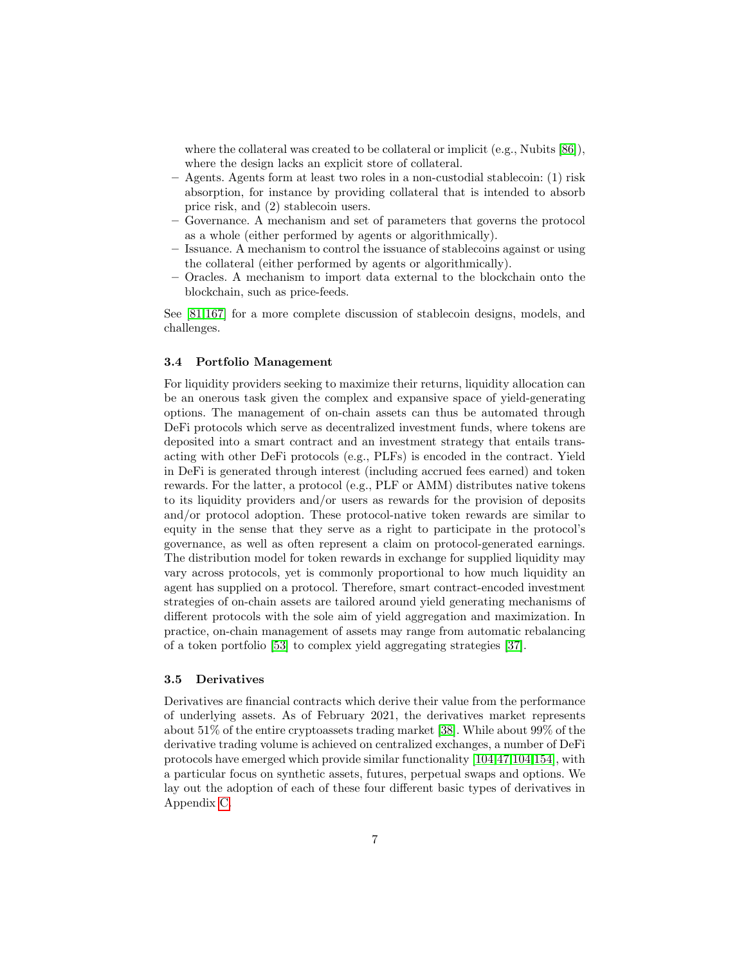where the collateral was created to be collateral or implicit (e.g., Nubits [\[86\]](#page-24-13)), where the design lacks an explicit store of collateral.

- Agents. Agents form at least two roles in a non-custodial stablecoin: (1) risk absorption, for instance by providing collateral that is intended to absorb price risk, and (2) stablecoin users.
- Governance. A mechanism and set of parameters that governs the protocol as a whole (either performed by agents or algorithmically).
- Issuance. A mechanism to control the issuance of stablecoins against or using the collateral (either performed by agents or algorithmically).
- Oracles. A mechanism to import data external to the blockchain onto the blockchain, such as price-feeds.

See [\[81,](#page-24-6)[167\]](#page-27-11) for a more complete discussion of stablecoin designs, models, and challenges.

#### 3.4 Portfolio Management

For liquidity providers seeking to maximize their returns, liquidity allocation can be an onerous task given the complex and expansive space of yield-generating options. The management of on-chain assets can thus be automated through DeFi protocols which serve as decentralized investment funds, where tokens are deposited into a smart contract and an investment strategy that entails transacting with other DeFi protocols (e.g., PLFs) is encoded in the contract. Yield in DeFi is generated through interest (including accrued fees earned) and token rewards. For the latter, a protocol (e.g., PLF or AMM) distributes native tokens to its liquidity providers and/or users as rewards for the provision of deposits and/or protocol adoption. These protocol-native token rewards are similar to equity in the sense that they serve as a right to participate in the protocol's governance, as well as often represent a claim on protocol-generated earnings. The distribution model for token rewards in exchange for supplied liquidity may vary across protocols, yet is commonly proportional to how much liquidity an agent has supplied on a protocol. Therefore, smart contract-encoded investment strategies of on-chain assets are tailored around yield generating mechanisms of different protocols with the sole aim of yield aggregation and maximization. In practice, on-chain management of assets may range from automatic rebalancing of a token portfolio [\[53\]](#page-22-7) to complex yield aggregating strategies [\[37\]](#page-21-6).

#### 3.5 Derivatives

Derivatives are financial contracts which derive their value from the performance of underlying assets. As of February 2021, the derivatives market represents about 51% of the entire cryptoassets trading market [\[38\]](#page-21-7). While about 99% of the derivative trading volume is achieved on centralized exchanges, a number of DeFi protocols have emerged which provide similar functionality [\[104,](#page-25-5)[47,](#page-22-8)[104,](#page-25-5)[154\]](#page-27-12), with a particular focus on synthetic assets, futures, perpetual swaps and options. We lay out the adoption of each of these four different basic types of derivatives in Appendix [C.](#page-30-0)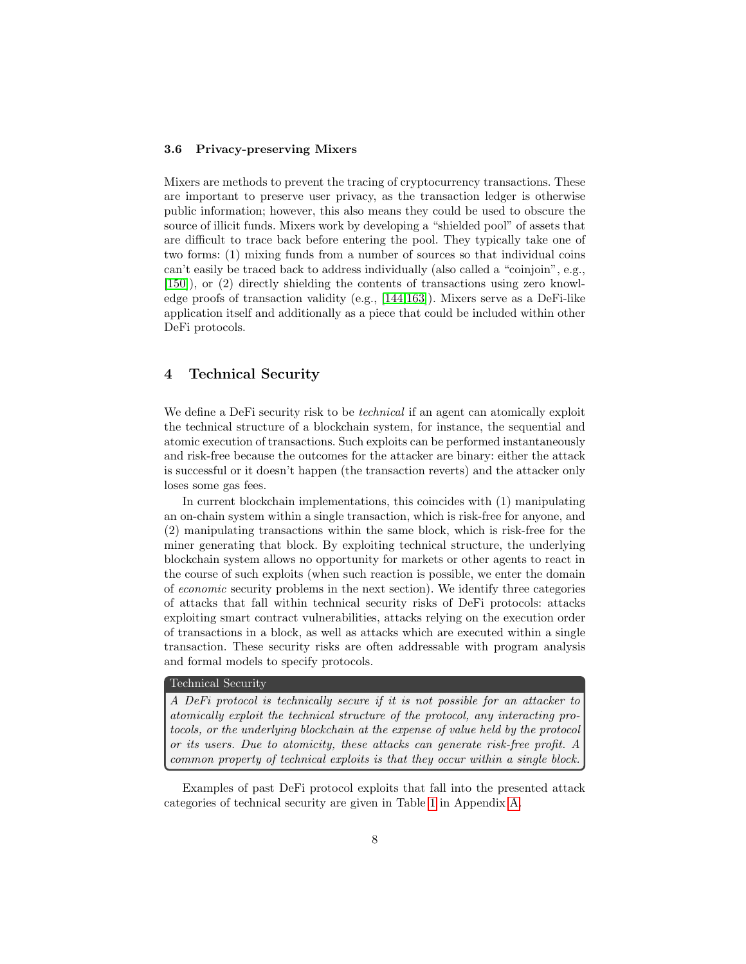#### 3.6 Privacy-preserving Mixers

Mixers are methods to prevent the tracing of cryptocurrency transactions. These are important to preserve user privacy, as the transaction ledger is otherwise public information; however, this also means they could be used to obscure the source of illicit funds. Mixers work by developing a "shielded pool" of assets that are difficult to trace back before entering the pool. They typically take one of two forms: (1) mixing funds from a number of sources so that individual coins can't easily be traced back to address individually (also called a "coinjoin", e.g., [\[150\]](#page-27-13)), or (2) directly shielding the contents of transactions using zero knowledge proofs of transaction validity (e.g., [\[144,](#page-26-4)[163\]](#page-27-14)). Mixers serve as a DeFi-like application itself and additionally as a piece that could be included within other DeFi protocols.

# <span id="page-7-0"></span>4 Technical Security

We define a DeFi security risk to be *technical* if an agent can atomically exploit the technical structure of a blockchain system, for instance, the sequential and atomic execution of transactions. Such exploits can be performed instantaneously and risk-free because the outcomes for the attacker are binary: either the attack is successful or it doesn't happen (the transaction reverts) and the attacker only loses some gas fees.

In current blockchain implementations, this coincides with (1) manipulating an on-chain system within a single transaction, which is risk-free for anyone, and (2) manipulating transactions within the same block, which is risk-free for the miner generating that block. By exploiting technical structure, the underlying blockchain system allows no opportunity for markets or other agents to react in the course of such exploits (when such reaction is possible, we enter the domain of economic security problems in the next section). We identify three categories of attacks that fall within technical security risks of DeFi protocols: attacks exploiting smart contract vulnerabilities, attacks relying on the execution order of transactions in a block, as well as attacks which are executed within a single transaction. These security risks are often addressable with program analysis and formal models to specify protocols.

### Technical Security

A DeFi protocol is technically secure if it is not possible for an attacker to atomically exploit the technical structure of the protocol, any interacting protocols, or the underlying blockchain at the expense of value held by the protocol or its users. Due to atomicity, these attacks can generate risk-free profit. A common property of technical exploits is that they occur within a single block.

Examples of past DeFi protocol exploits that fall into the presented attack categories of technical security are given in Table [1](#page-33-0) in Appendix [A.](#page-28-0)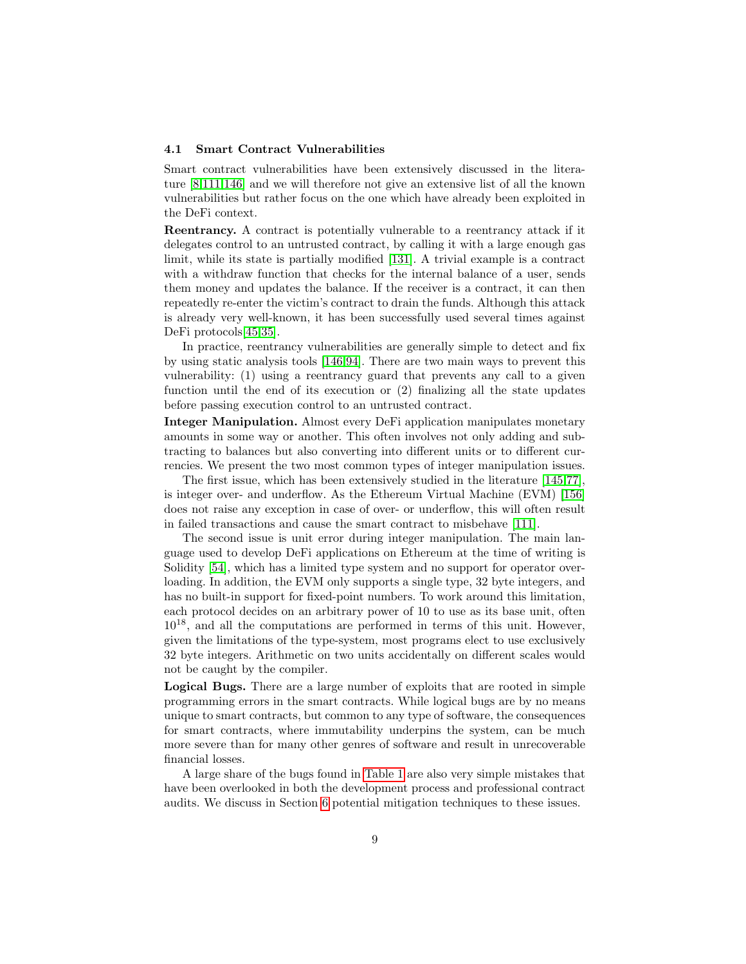#### 4.1 Smart Contract Vulnerabilities

Smart contract vulnerabilities have been extensively discussed in the literature [\[8](#page-20-11)[,111](#page-25-6)[,146\]](#page-27-15) and we will therefore not give an extensive list of all the known vulnerabilities but rather focus on the one which have already been exploited in the DeFi context.

Reentrancy. A contract is potentially vulnerable to a reentrancy attack if it delegates control to an untrusted contract, by calling it with a large enough gas limit, while its state is partially modified [\[131\]](#page-26-5). A trivial example is a contract with a withdraw function that checks for the internal balance of a user, sends them money and updates the balance. If the receiver is a contract, it can then repeatedly re-enter the victim's contract to drain the funds. Although this attack is already very well-known, it has been successfully used several times against DeFi protocols[\[45,](#page-22-9)[35\]](#page-21-8).

In practice, reentrancy vulnerabilities are generally simple to detect and fix by using static analysis tools [\[146](#page-27-15)[,94\]](#page-24-14). There are two main ways to prevent this vulnerability: (1) using a reentrancy guard that prevents any call to a given function until the end of its execution or (2) finalizing all the state updates before passing execution control to an untrusted contract.

Integer Manipulation. Almost every DeFi application manipulates monetary amounts in some way or another. This often involves not only adding and subtracting to balances but also converting into different units or to different currencies. We present the two most common types of integer manipulation issues.

The first issue, which has been extensively studied in the literature [\[145,](#page-26-6)[77\]](#page-23-7), is integer over- and underflow. As the Ethereum Virtual Machine (EVM) [\[156\]](#page-27-4) does not raise any exception in case of over- or underflow, this will often result in failed transactions and cause the smart contract to misbehave [\[111\]](#page-25-6).

The second issue is unit error during integer manipulation. The main language used to develop DeFi applications on Ethereum at the time of writing is Solidity [\[54\]](#page-22-10), which has a limited type system and no support for operator overloading. In addition, the EVM only supports a single type, 32 byte integers, and has no built-in support for fixed-point numbers. To work around this limitation, each protocol decides on an arbitrary power of 10 to use as its base unit, often  $10^{18}$ , and all the computations are performed in terms of this unit. However, given the limitations of the type-system, most programs elect to use exclusively 32 byte integers. Arithmetic on two units accidentally on different scales would not be caught by the compiler.

Logical Bugs. There are a large number of exploits that are rooted in simple programming errors in the smart contracts. While logical bugs are by no means unique to smart contracts, but common to any type of software, the consequences for smart contracts, where immutability underpins the system, can be much more severe than for many other genres of software and result in unrecoverable financial losses.

A large share of the bugs found in [Table 1](#page-33-0) are also very simple mistakes that have been overlooked in both the development process and professional contract audits. We discuss in Section [6](#page-16-0) potential mitigation techniques to these issues.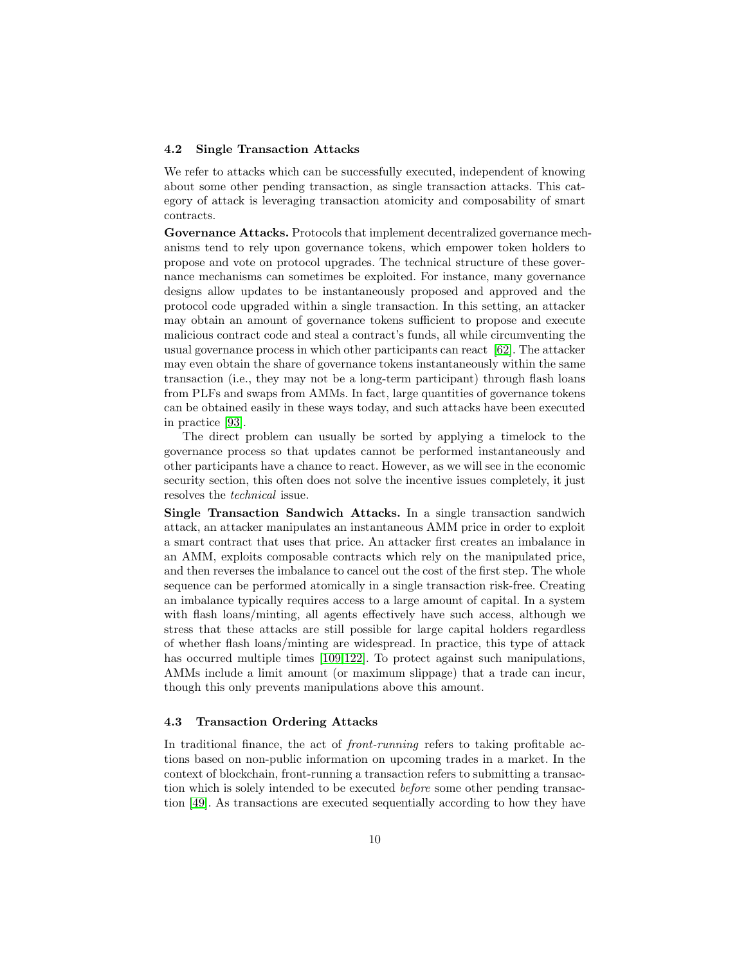#### <span id="page-9-0"></span>4.2 Single Transaction Attacks

We refer to attacks which can be successfully executed, independent of knowing about some other pending transaction, as single transaction attacks. This category of attack is leveraging transaction atomicity and composability of smart contracts.

Governance Attacks. Protocols that implement decentralized governance mechanisms tend to rely upon governance tokens, which empower token holders to propose and vote on protocol upgrades. The technical structure of these governance mechanisms can sometimes be exploited. For instance, many governance designs allow updates to be instantaneously proposed and approved and the protocol code upgraded within a single transaction. In this setting, an attacker may obtain an amount of governance tokens sufficient to propose and execute malicious contract code and steal a contract's funds, all while circumventing the usual governance process in which other participants can react [\[62\]](#page-23-8). The attacker may even obtain the share of governance tokens instantaneously within the same transaction (i.e., they may not be a long-term participant) through flash loans from PLFs and swaps from AMMs. In fact, large quantities of governance tokens can be obtained easily in these ways today, and such attacks have been executed in practice [\[93\]](#page-24-15).

The direct problem can usually be sorted by applying a timelock to the governance process so that updates cannot be performed instantaneously and other participants have a chance to react. However, as we will see in the economic security section, this often does not solve the incentive issues completely, it just resolves the technical issue.

Single Transaction Sandwich Attacks. In a single transaction sandwich attack, an attacker manipulates an instantaneous AMM price in order to exploit a smart contract that uses that price. An attacker first creates an imbalance in an AMM, exploits composable contracts which rely on the manipulated price, and then reverses the imbalance to cancel out the cost of the first step. The whole sequence can be performed atomically in a single transaction risk-free. Creating an imbalance typically requires access to a large amount of capital. In a system with flash loans/minting, all agents effectively have such access, although we stress that these attacks are still possible for large capital holders regardless of whether flash loans/minting are widespread. In practice, this type of attack has occurred multiple times [\[109,](#page-25-7)[122\]](#page-25-8). To protect against such manipulations, AMMs include a limit amount (or maximum slippage) that a trade can incur, though this only prevents manipulations above this amount.

#### 4.3 Transaction Ordering Attacks

In traditional finance, the act of *front-running* refers to taking profitable actions based on non-public information on upcoming trades in a market. In the context of blockchain, front-running a transaction refers to submitting a transaction which is solely intended to be executed before some other pending transaction [\[49\]](#page-22-11). As transactions are executed sequentially according to how they have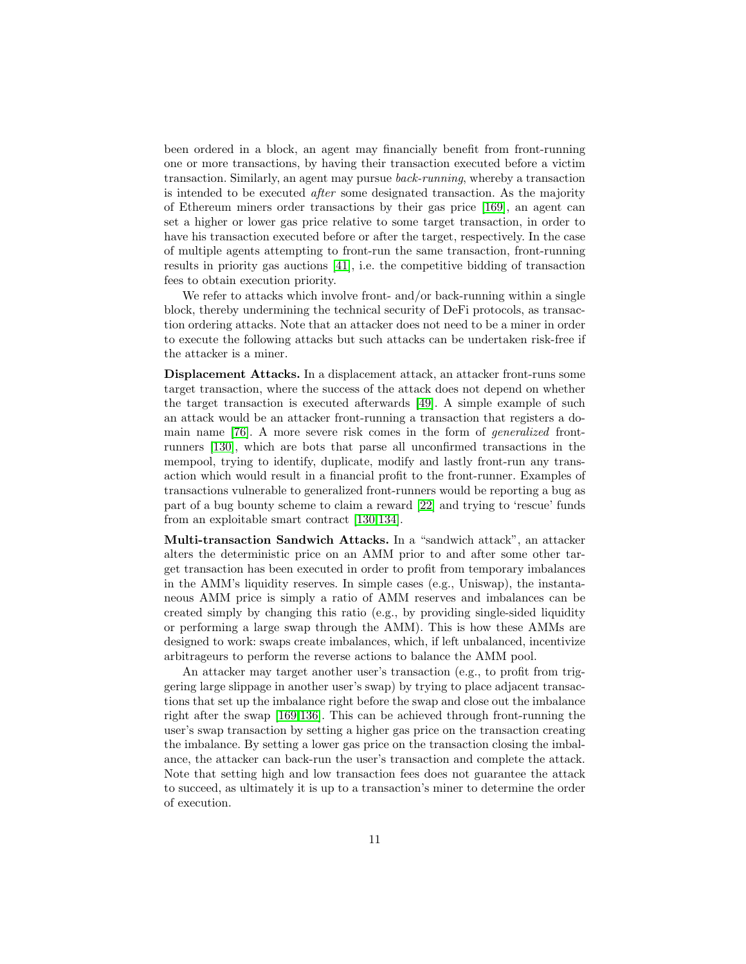been ordered in a block, an agent may financially benefit from front-running one or more transactions, by having their transaction executed before a victim transaction. Similarly, an agent may pursue back-running, whereby a transaction is intended to be executed after some designated transaction. As the majority of Ethereum miners order transactions by their gas price [\[169\]](#page-28-1), an agent can set a higher or lower gas price relative to some target transaction, in order to have his transaction executed before or after the target, respectively. In the case of multiple agents attempting to front-run the same transaction, front-running results in priority gas auctions [\[41\]](#page-22-3), i.e. the competitive bidding of transaction fees to obtain execution priority.

We refer to attacks which involve front- and/or back-running within a single block, thereby undermining the technical security of DeFi protocols, as transaction ordering attacks. Note that an attacker does not need to be a miner in order to execute the following attacks but such attacks can be undertaken risk-free if the attacker is a miner.

Displacement Attacks. In a displacement attack, an attacker front-runs some target transaction, where the success of the attack does not depend on whether the target transaction is executed afterwards [\[49\]](#page-22-11). A simple example of such an attack would be an attacker front-running a transaction that registers a domain name [\[76\]](#page-23-9). A more severe risk comes in the form of generalized frontrunners [\[130\]](#page-26-7), which are bots that parse all unconfirmed transactions in the mempool, trying to identify, duplicate, modify and lastly front-run any transaction which would result in a financial profit to the front-runner. Examples of transactions vulnerable to generalized front-runners would be reporting a bug as part of a bug bounty scheme to claim a reward [\[22\]](#page-21-9) and trying to 'rescue' funds from an exploitable smart contract [\[130,](#page-26-7)[134\]](#page-26-8).

Multi-transaction Sandwich Attacks. In a "sandwich attack", an attacker alters the deterministic price on an AMM prior to and after some other target transaction has been executed in order to profit from temporary imbalances in the AMM's liquidity reserves. In simple cases (e.g., Uniswap), the instantaneous AMM price is simply a ratio of AMM reserves and imbalances can be created simply by changing this ratio (e.g., by providing single-sided liquidity or performing a large swap through the AMM). This is how these AMMs are designed to work: swaps create imbalances, which, if left unbalanced, incentivize arbitrageurs to perform the reverse actions to balance the AMM pool.

An attacker may target another user's transaction (e.g., to profit from triggering large slippage in another user's swap) by trying to place adjacent transactions that set up the imbalance right before the swap and close out the imbalance right after the swap [\[169,](#page-28-1)[136\]](#page-26-9). This can be achieved through front-running the user's swap transaction by setting a higher gas price on the transaction creating the imbalance. By setting a lower gas price on the transaction closing the imbalance, the attacker can back-run the user's transaction and complete the attack. Note that setting high and low transaction fees does not guarantee the attack to succeed, as ultimately it is up to a transaction's miner to determine the order of execution.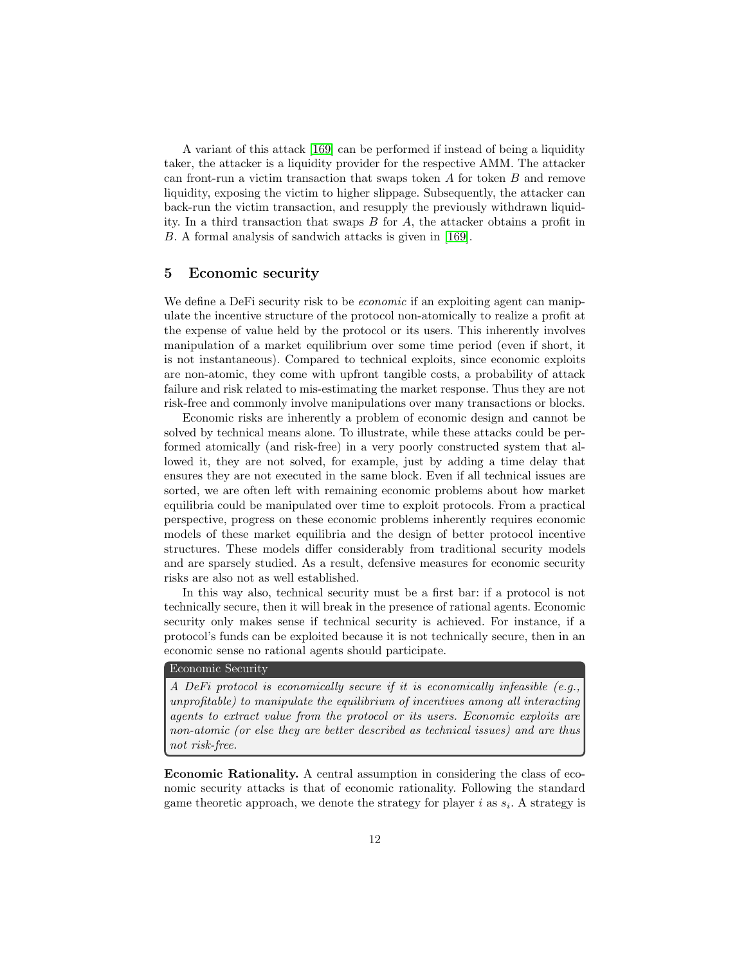A variant of this attack [\[169\]](#page-28-1) can be performed if instead of being a liquidity taker, the attacker is a liquidity provider for the respective AMM. The attacker can front-run a victim transaction that swaps token  $A$  for token  $B$  and remove liquidity, exposing the victim to higher slippage. Subsequently, the attacker can back-run the victim transaction, and resupply the previously withdrawn liquidity. In a third transaction that swaps B for A, the attacker obtains a profit in B. A formal analysis of sandwich attacks is given in [\[169\]](#page-28-1).

### <span id="page-11-0"></span>5 Economic security

We define a DeFi security risk to be *economic* if an exploiting agent can manipulate the incentive structure of the protocol non-atomically to realize a profit at the expense of value held by the protocol or its users. This inherently involves manipulation of a market equilibrium over some time period (even if short, it is not instantaneous). Compared to technical exploits, since economic exploits are non-atomic, they come with upfront tangible costs, a probability of attack failure and risk related to mis-estimating the market response. Thus they are not risk-free and commonly involve manipulations over many transactions or blocks.

Economic risks are inherently a problem of economic design and cannot be solved by technical means alone. To illustrate, while these attacks could be performed atomically (and risk-free) in a very poorly constructed system that allowed it, they are not solved, for example, just by adding a time delay that ensures they are not executed in the same block. Even if all technical issues are sorted, we are often left with remaining economic problems about how market equilibria could be manipulated over time to exploit protocols. From a practical perspective, progress on these economic problems inherently requires economic models of these market equilibria and the design of better protocol incentive structures. These models differ considerably from traditional security models and are sparsely studied. As a result, defensive measures for economic security risks are also not as well established.

In this way also, technical security must be a first bar: if a protocol is not technically secure, then it will break in the presence of rational agents. Economic security only makes sense if technical security is achieved. For instance, if a protocol's funds can be exploited because it is not technically secure, then in an economic sense no rational agents should participate.

#### Economic Security

A DeFi protocol is economically secure if it is economically infeasible (e.g., unprofitable) to manipulate the equilibrium of incentives among all interacting agents to extract value from the protocol or its users. Economic exploits are non-atomic (or else they are better described as technical issues) and are thus not risk-free.

Economic Rationality. A central assumption in considering the class of economic security attacks is that of economic rationality. Following the standard game theoretic approach, we denote the strategy for player  $i$  as  $s_i$ . A strategy is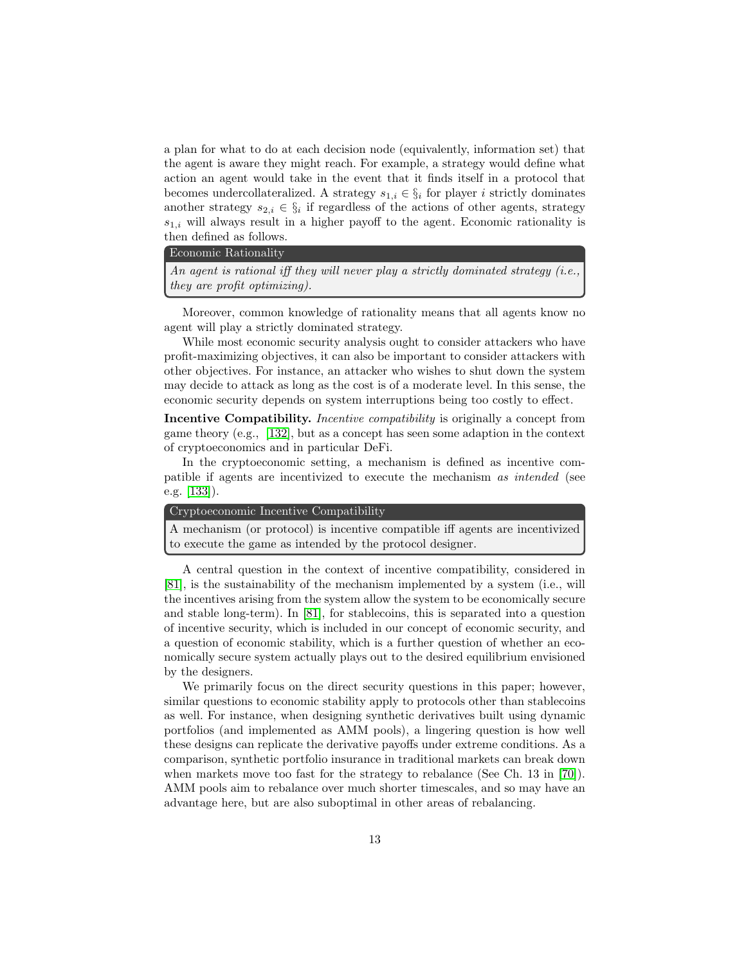a plan for what to do at each decision node (equivalently, information set) that the agent is aware they might reach. For example, a strategy would define what action an agent would take in the event that it finds itself in a protocol that becomes undercollateralized. A strategy  $s_{1,i} \in \S_i$  for player i strictly dominates another strategy  $s_{2,i} \in \S_i$  if regardless of the actions of other agents, strategy  $s_{1,i}$  will always result in a higher payoff to the agent. Economic rationality is then defined as follows.

#### Economic Rationality

An agent is rational iff they will never play a strictly dominated strategy  $(i.e.,$ they are profit optimizing).

Moreover, common knowledge of rationality means that all agents know no agent will play a strictly dominated strategy.

While most economic security analysis ought to consider attackers who have profit-maximizing objectives, it can also be important to consider attackers with other objectives. For instance, an attacker who wishes to shut down the system may decide to attack as long as the cost is of a moderate level. In this sense, the economic security depends on system interruptions being too costly to effect.

Incentive Compatibility. Incentive compatibility is originally a concept from game theory (e.g., [\[132\]](#page-26-10), but as a concept has seen some adaption in the context of cryptoeconomics and in particular DeFi.

In the cryptoeconomic setting, a mechanism is defined as incentive compatible if agents are incentivized to execute the mechanism as intended (see e.g. [\[133\]](#page-26-11)).

#### Cryptoeconomic Incentive Compatibility

A mechanism (or protocol) is incentive compatible iff agents are incentivized to execute the game as intended by the protocol designer.

A central question in the context of incentive compatibility, considered in [\[81\]](#page-24-6), is the sustainability of the mechanism implemented by a system (i.e., will the incentives arising from the system allow the system to be economically secure and stable long-term). In [\[81\]](#page-24-6), for stablecoins, this is separated into a question of incentive security, which is included in our concept of economic security, and a question of economic stability, which is a further question of whether an economically secure system actually plays out to the desired equilibrium envisioned by the designers.

We primarily focus on the direct security questions in this paper; however, similar questions to economic stability apply to protocols other than stablecoins as well. For instance, when designing synthetic derivatives built using dynamic portfolios (and implemented as AMM pools), a lingering question is how well these designs can replicate the derivative payoffs under extreme conditions. As a comparison, synthetic portfolio insurance in traditional markets can break down when markets move too fast for the strategy to rebalance (See Ch. 13 in [\[70\]](#page-23-10)). AMM pools aim to rebalance over much shorter timescales, and so may have an advantage here, but are also suboptimal in other areas of rebalancing.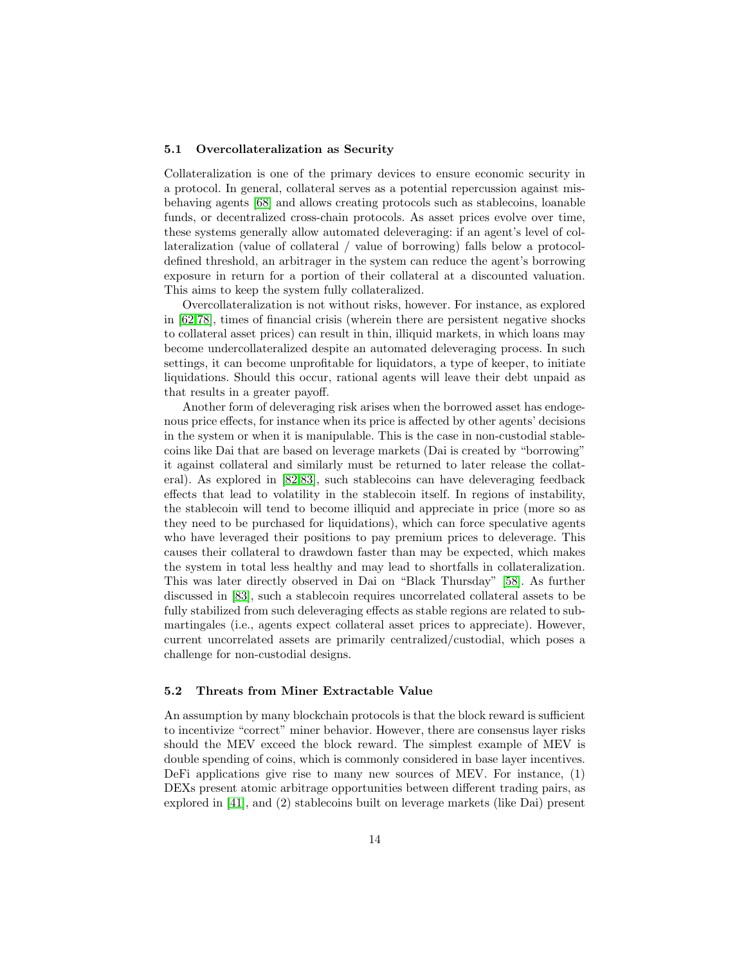#### 5.1 Overcollateralization as Security

Collateralization is one of the primary devices to ensure economic security in a protocol. In general, collateral serves as a potential repercussion against misbehaving agents [\[68\]](#page-23-11) and allows creating protocols such as stablecoins, loanable funds, or decentralized cross-chain protocols. As asset prices evolve over time, these systems generally allow automated deleveraging: if an agent's level of collateralization (value of collateral / value of borrowing) falls below a protocoldefined threshold, an arbitrager in the system can reduce the agent's borrowing exposure in return for a portion of their collateral at a discounted valuation. This aims to keep the system fully collateralized.

Overcollateralization is not without risks, however. For instance, as explored in [\[62](#page-23-8)[,78\]](#page-23-12), times of financial crisis (wherein there are persistent negative shocks to collateral asset prices) can result in thin, illiquid markets, in which loans may become undercollateralized despite an automated deleveraging process. In such settings, it can become unprofitable for liquidators, a type of keeper, to initiate liquidations. Should this occur, rational agents will leave their debt unpaid as that results in a greater payoff.

Another form of deleveraging risk arises when the borrowed asset has endogenous price effects, for instance when its price is affected by other agents' decisions in the system or when it is manipulable. This is the case in non-custodial stablecoins like Dai that are based on leverage markets (Dai is created by "borrowing" it against collateral and similarly must be returned to later release the collateral). As explored in [\[82,](#page-24-16)[83\]](#page-24-17), such stablecoins can have deleveraging feedback effects that lead to volatility in the stablecoin itself. In regions of instability, the stablecoin will tend to become illiquid and appreciate in price (more so as they need to be purchased for liquidations), which can force speculative agents who have leveraged their positions to pay premium prices to deleverage. This causes their collateral to drawdown faster than may be expected, which makes the system in total less healthy and may lead to shortfalls in collateralization. This was later directly observed in Dai on "Black Thursday" [\[58\]](#page-22-12). As further discussed in [\[83\]](#page-24-17), such a stablecoin requires uncorrelated collateral assets to be fully stabilized from such deleveraging effects as stable regions are related to submartingales (i.e., agents expect collateral asset prices to appreciate). However, current uncorrelated assets are primarily centralized/custodial, which poses a challenge for non-custodial designs.

#### <span id="page-13-0"></span>5.2 Threats from Miner Extractable Value

An assumption by many blockchain protocols is that the block reward is sufficient to incentivize "correct" miner behavior. However, there are consensus layer risks should the MEV exceed the block reward. The simplest example of MEV is double spending of coins, which is commonly considered in base layer incentives. DeFi applications give rise to many new sources of MEV. For instance, (1) DEXs present atomic arbitrage opportunities between different trading pairs, as explored in [\[41\]](#page-22-3), and (2) stablecoins built on leverage markets (like Dai) present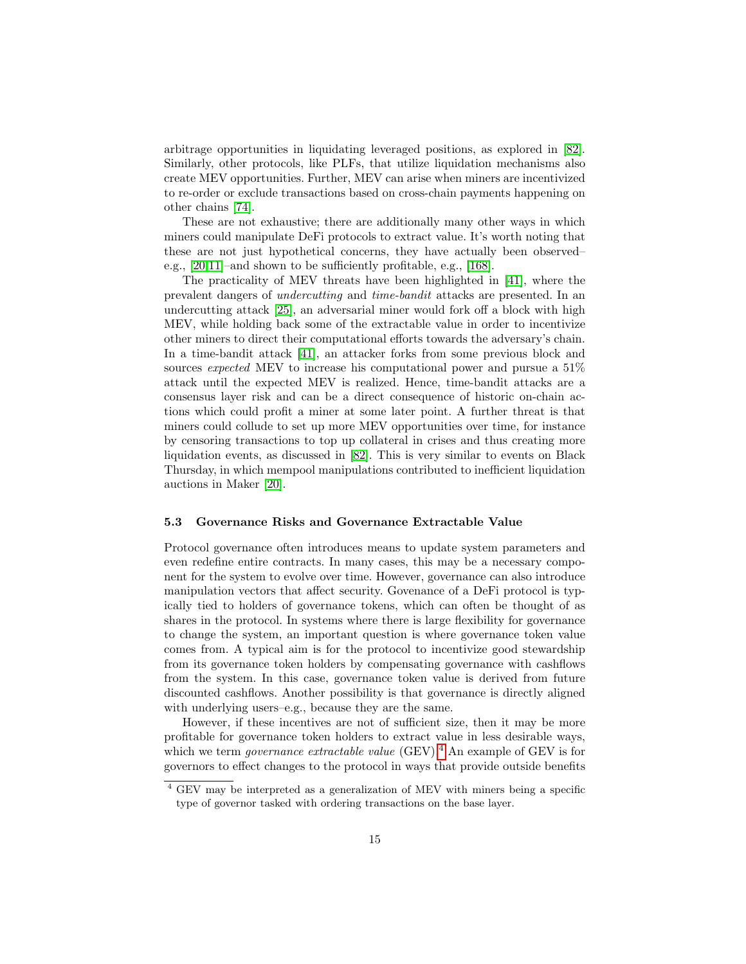arbitrage opportunities in liquidating leveraged positions, as explored in [\[82\]](#page-24-16). Similarly, other protocols, like PLFs, that utilize liquidation mechanisms also create MEV opportunities. Further, MEV can arise when miners are incentivized to re-order or exclude transactions based on cross-chain payments happening on other chains [\[74\]](#page-23-13).

These are not exhaustive; there are additionally many other ways in which miners could manipulate DeFi protocols to extract value. It's worth noting that these are not just hypothetical concerns, they have actually been observed– e.g., [\[20,](#page-21-10)[11\]](#page-20-12)–and shown to be sufficiently profitable, e.g., [\[168\]](#page-28-2).

The practicality of MEV threats have been highlighted in [\[41\]](#page-22-3), where the prevalent dangers of undercutting and time-bandit attacks are presented. In an undercutting attack [\[25\]](#page-21-11), an adversarial miner would fork off a block with high MEV, while holding back some of the extractable value in order to incentivize other miners to direct their computational efforts towards the adversary's chain. In a time-bandit attack [\[41\]](#page-22-3), an attacker forks from some previous block and sources expected MEV to increase his computational power and pursue a 51% attack until the expected MEV is realized. Hence, time-bandit attacks are a consensus layer risk and can be a direct consequence of historic on-chain actions which could profit a miner at some later point. A further threat is that miners could collude to set up more MEV opportunities over time, for instance by censoring transactions to top up collateral in crises and thus creating more liquidation events, as discussed in [\[82\]](#page-24-16). This is very similar to events on Black Thursday, in which mempool manipulations contributed to inefficient liquidation auctions in Maker [\[20\]](#page-21-10).

#### 5.3 Governance Risks and Governance Extractable Value

Protocol governance often introduces means to update system parameters and even redefine entire contracts. In many cases, this may be a necessary component for the system to evolve over time. However, governance can also introduce manipulation vectors that affect security. Govenance of a DeFi protocol is typically tied to holders of governance tokens, which can often be thought of as shares in the protocol. In systems where there is large flexibility for governance to change the system, an important question is where governance token value comes from. A typical aim is for the protocol to incentivize good stewardship from its governance token holders by compensating governance with cashflows from the system. In this case, governance token value is derived from future discounted cashflows. Another possibility is that governance is directly aligned with underlying users–e.g., because they are the same.

However, if these incentives are not of sufficient size, then it may be more profitable for governance token holders to extract value in less desirable ways, which we term *governance extractable value* (GEV).<sup>[4](#page-14-0)</sup> An example of GEV is for governors to effect changes to the protocol in ways that provide outside benefits

<span id="page-14-0"></span><sup>4</sup> GEV may be interpreted as a generalization of MEV with miners being a specific type of governor tasked with ordering transactions on the base layer.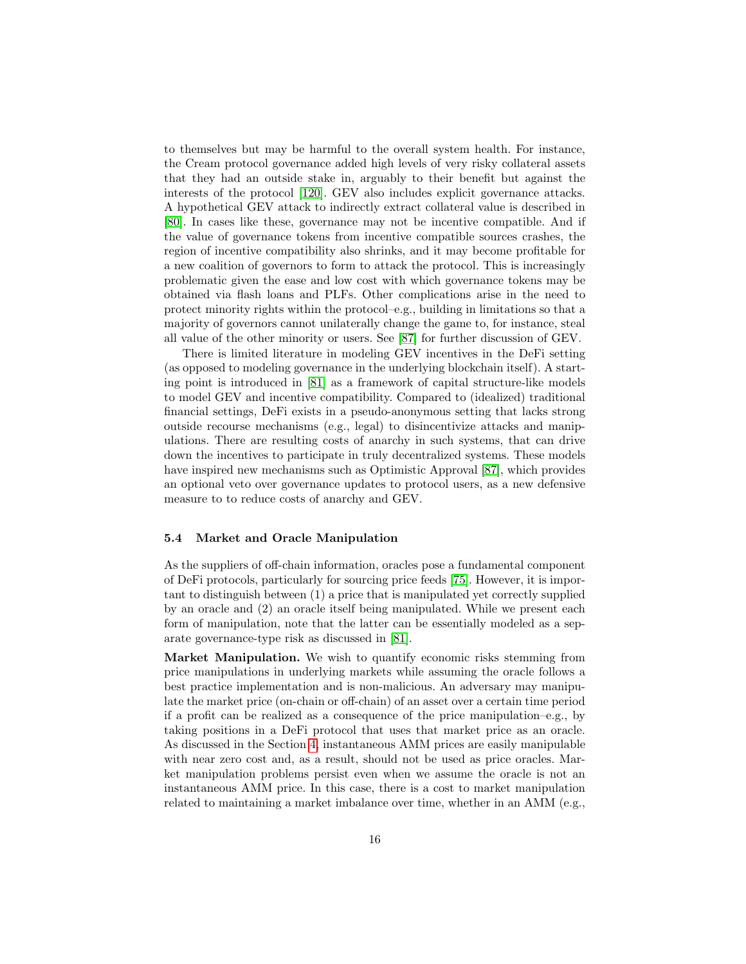to themselves but may be harmful to the overall system health. For instance, the Cream protocol governance added high levels of very risky collateral assets that they had an outside stake in, arguably to their benefit but against the interests of the protocol [\[120\]](#page-25-9). GEV also includes explicit governance attacks. A hypothetical GEV attack to indirectly extract collateral value is described in [\[80\]](#page-24-18). In cases like these, governance may not be incentive compatible. And if the value of governance tokens from incentive compatible sources crashes, the region of incentive compatibility also shrinks, and it may become profitable for a new coalition of governors to form to attack the protocol. This is increasingly problematic given the ease and low cost with which governance tokens may be obtained via flash loans and PLFs. Other complications arise in the need to protect minority rights within the protocol–e.g., building in limitations so that a majority of governors cannot unilaterally change the game to, for instance, steal all value of the other minority or users. See [\[87\]](#page-24-19) for further discussion of GEV.

There is limited literature in modeling GEV incentives in the DeFi setting (as opposed to modeling governance in the underlying blockchain itself). A starting point is introduced in [\[81\]](#page-24-6) as a framework of capital structure-like models to model GEV and incentive compatibility. Compared to (idealized) traditional financial settings, DeFi exists in a pseudo-anonymous setting that lacks strong outside recourse mechanisms (e.g., legal) to disincentivize attacks and manipulations. There are resulting costs of anarchy in such systems, that can drive down the incentives to participate in truly decentralized systems. These models have inspired new mechanisms such as Optimistic Approval [\[87\]](#page-24-19), which provides an optional veto over governance updates to protocol users, as a new defensive measure to to reduce costs of anarchy and GEV.

#### <span id="page-15-0"></span>5.4 Market and Oracle Manipulation

As the suppliers of off-chain information, oracles pose a fundamental component of DeFi protocols, particularly for sourcing price feeds [\[75\]](#page-23-14). However, it is important to distinguish between (1) a price that is manipulated yet correctly supplied by an oracle and (2) an oracle itself being manipulated. While we present each form of manipulation, note that the latter can be essentially modeled as a separate governance-type risk as discussed in [\[81\]](#page-24-6).

Market Manipulation. We wish to quantify economic risks stemming from price manipulations in underlying markets while assuming the oracle follows a best practice implementation and is non-malicious. An adversary may manipulate the market price (on-chain or off-chain) of an asset over a certain time period if a profit can be realized as a consequence of the price manipulation–e.g., by taking positions in a DeFi protocol that uses that market price as an oracle. As discussed in the Section [4,](#page-7-0) instantaneous AMM prices are easily manipulable with near zero cost and, as a result, should not be used as price oracles. Market manipulation problems persist even when we assume the oracle is not an instantaneous AMM price. In this case, there is a cost to market manipulation related to maintaining a market imbalance over time, whether in an AMM (e.g.,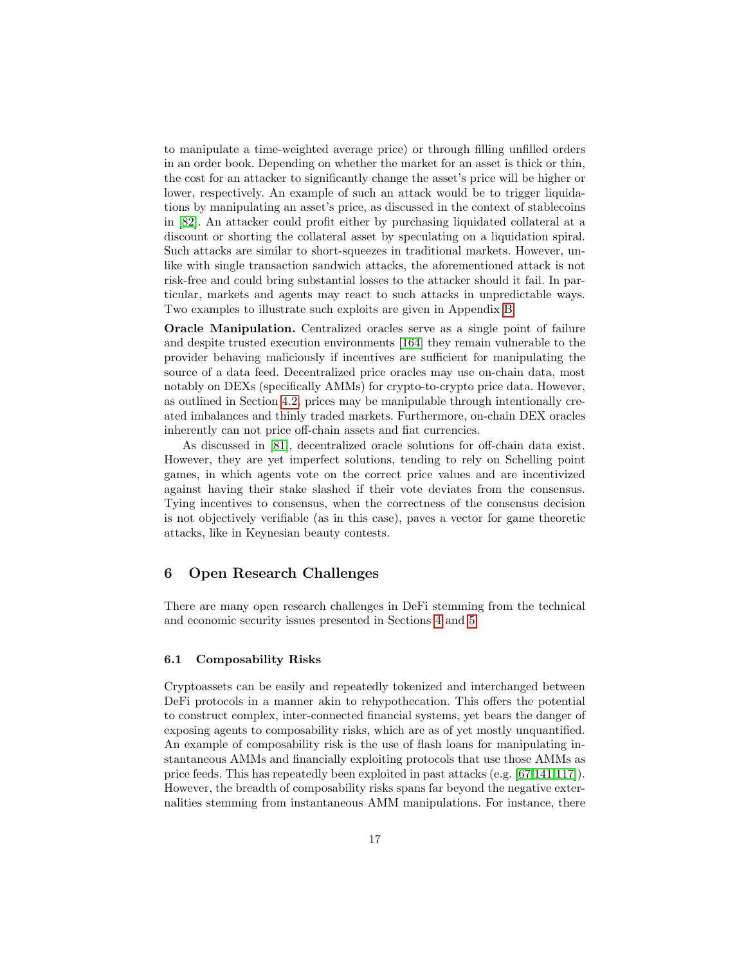to manipulate a time-weighted average price) or through filling unfilled orders in an order book. Depending on whether the market for an asset is thick or thin, the cost for an attacker to significantly change the asset's price will be higher or lower, respectively. An example of such an attack would be to trigger liquidations by manipulating an asset's price, as discussed in the context of stablecoins in [\[82\]](#page-24-16). An attacker could profit either by purchasing liquidated collateral at a discount or shorting the collateral asset by speculating on a liquidation spiral. Such attacks are similar to short-squeezes in traditional markets. However, unlike with single transaction sandwich attacks, the aforementioned attack is not risk-free and could bring substantial losses to the attacker should it fail. In particular, markets and agents may react to such attacks in unpredictable ways. Two examples to illustrate such exploits are given in Appendix [B.](#page-28-3)

Oracle Manipulation. Centralized oracles serve as a single point of failure and despite trusted execution environments [\[164\]](#page-27-16) they remain vulnerable to the provider behaving maliciously if incentives are sufficient for manipulating the source of a data feed. Decentralized price oracles may use on-chain data, most notably on DEXs (specifically AMMs) for crypto-to-crypto price data. However, as outlined in Section [4.2,](#page-9-0) prices may be manipulable through intentionally created imbalances and thinly traded markets. Furthermore, on-chain DEX oracles inherently can not price off-chain assets and fiat currencies.

As discussed in [\[81\]](#page-24-6), decentralized oracle solutions for off-chain data exist. However, they are yet imperfect solutions, tending to rely on Schelling point games, in which agents vote on the correct price values and are incentivized against having their stake slashed if their vote deviates from the consensus. Tying incentives to consensus, when the correctness of the consensus decision is not objectively verifiable (as in this case), paves a vector for game theoretic attacks, like in Keynesian beauty contests.

# <span id="page-16-0"></span>6 Open Research Challenges

There are many open research challenges in DeFi stemming from the technical and economic security issues presented in Sections [4](#page-7-0) and [5.](#page-11-0)

#### 6.1 Composability Risks

Cryptoassets can be easily and repeatedly tokenized and interchanged between DeFi protocols in a manner akin to rehypothecation. This offers the potential to construct complex, inter-connected financial systems, yet bears the danger of exposing agents to composability risks, which are as of yet mostly unquantified. An example of composability risk is the use of flash loans for manipulating instantaneous AMMs and financially exploiting protocols that use those AMMs as price feeds. This has repeatedly been exploited in past attacks (e.g. [\[67,](#page-23-0)[141](#page-26-12)[,117\]](#page-25-10)). However, the breadth of composability risks spans far beyond the negative externalities stemming from instantaneous AMM manipulations. For instance, there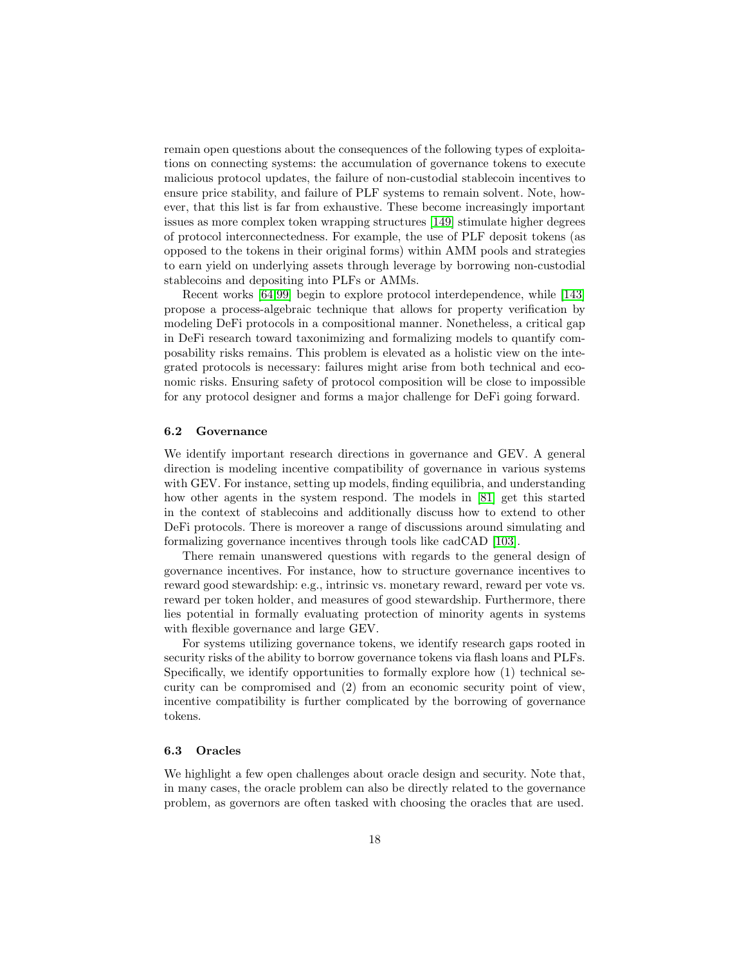remain open questions about the consequences of the following types of exploitations on connecting systems: the accumulation of governance tokens to execute malicious protocol updates, the failure of non-custodial stablecoin incentives to ensure price stability, and failure of PLF systems to remain solvent. Note, however, that this list is far from exhaustive. These become increasingly important issues as more complex token wrapping structures [\[149\]](#page-27-17) stimulate higher degrees of protocol interconnectedness. For example, the use of PLF deposit tokens (as opposed to the tokens in their original forms) within AMM pools and strategies to earn yield on underlying assets through leverage by borrowing non-custodial stablecoins and depositing into PLFs or AMMs.

Recent works [\[64](#page-23-6)[,99\]](#page-24-20) begin to explore protocol interdependence, while [\[143\]](#page-26-13) propose a process-algebraic technique that allows for property verification by modeling DeFi protocols in a compositional manner. Nonetheless, a critical gap in DeFi research toward taxonimizing and formalizing models to quantify composability risks remains. This problem is elevated as a holistic view on the integrated protocols is necessary: failures might arise from both technical and economic risks. Ensuring safety of protocol composition will be close to impossible for any protocol designer and forms a major challenge for DeFi going forward.

#### 6.2 Governance

We identify important research directions in governance and GEV. A general direction is modeling incentive compatibility of governance in various systems with GEV. For instance, setting up models, finding equilibria, and understanding how other agents in the system respond. The models in [\[81\]](#page-24-6) get this started in the context of stablecoins and additionally discuss how to extend to other DeFi protocols. There is moreover a range of discussions around simulating and formalizing governance incentives through tools like cadCAD [\[103\]](#page-25-11).

There remain unanswered questions with regards to the general design of governance incentives. For instance, how to structure governance incentives to reward good stewardship: e.g., intrinsic vs. monetary reward, reward per vote vs. reward per token holder, and measures of good stewardship. Furthermore, there lies potential in formally evaluating protection of minority agents in systems with flexible governance and large GEV.

For systems utilizing governance tokens, we identify research gaps rooted in security risks of the ability to borrow governance tokens via flash loans and PLFs. Specifically, we identify opportunities to formally explore how (1) technical security can be compromised and (2) from an economic security point of view, incentive compatibility is further complicated by the borrowing of governance tokens.

#### 6.3 Oracles

We highlight a few open challenges about oracle design and security. Note that, in many cases, the oracle problem can also be directly related to the governance problem, as governors are often tasked with choosing the oracles that are used.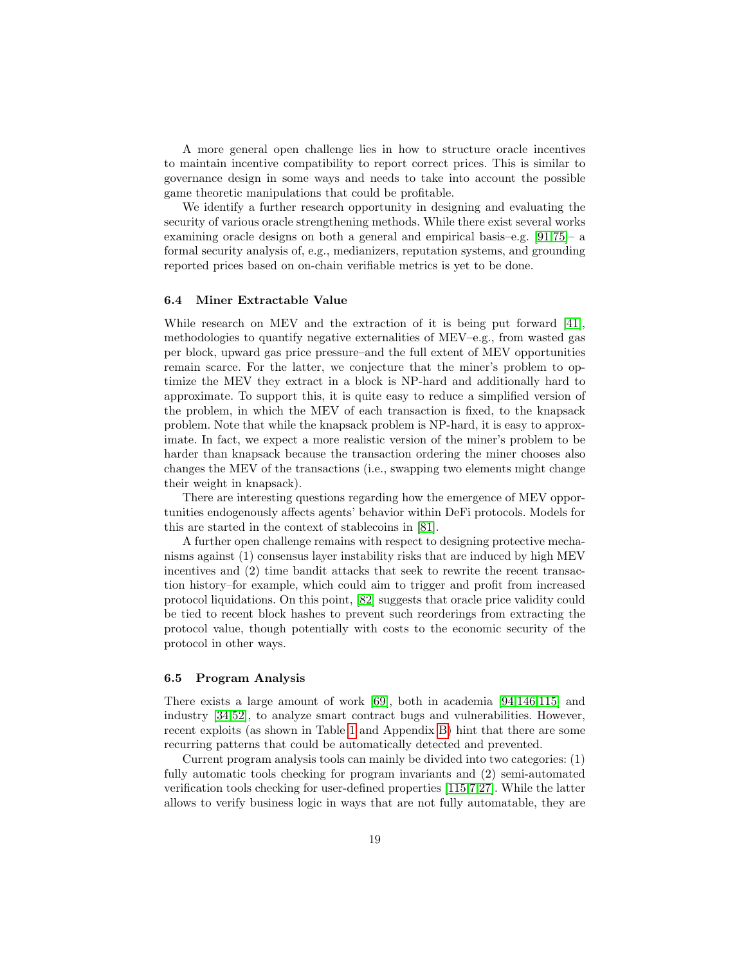A more general open challenge lies in how to structure oracle incentives to maintain incentive compatibility to report correct prices. This is similar to governance design in some ways and needs to take into account the possible game theoretic manipulations that could be profitable.

We identify a further research opportunity in designing and evaluating the security of various oracle strengthening methods. While there exist several works examining oracle designs on both a general and empirical basis–e.g. [\[91,](#page-24-7)[75\]](#page-23-14)– a formal security analysis of, e.g., medianizers, reputation systems, and grounding reported prices based on on-chain verifiable metrics is yet to be done.

#### 6.4 Miner Extractable Value

While research on MEV and the extraction of it is being put forward [\[41\]](#page-22-3), methodologies to quantify negative externalities of MEV–e.g., from wasted gas per block, upward gas price pressure–and the full extent of MEV opportunities remain scarce. For the latter, we conjecture that the miner's problem to optimize the MEV they extract in a block is NP-hard and additionally hard to approximate. To support this, it is quite easy to reduce a simplified version of the problem, in which the MEV of each transaction is fixed, to the knapsack problem. Note that while the knapsack problem is NP-hard, it is easy to approximate. In fact, we expect a more realistic version of the miner's problem to be harder than knapsack because the transaction ordering the miner chooses also changes the MEV of the transactions (i.e., swapping two elements might change their weight in knapsack).

There are interesting questions regarding how the emergence of MEV opportunities endogenously affects agents' behavior within DeFi protocols. Models for this are started in the context of stablecoins in [\[81\]](#page-24-6).

A further open challenge remains with respect to designing protective mechanisms against (1) consensus layer instability risks that are induced by high MEV incentives and (2) time bandit attacks that seek to rewrite the recent transaction history–for example, which could aim to trigger and profit from increased protocol liquidations. On this point, [\[82\]](#page-24-16) suggests that oracle price validity could be tied to recent block hashes to prevent such reorderings from extracting the protocol value, though potentially with costs to the economic security of the protocol in other ways.

#### 6.5 Program Analysis

There exists a large amount of work [\[69\]](#page-23-15), both in academia [\[94,](#page-24-14)[146,](#page-27-15)[115\]](#page-25-12) and industry [\[34,](#page-21-12)[52\]](#page-22-13), to analyze smart contract bugs and vulnerabilities. However, recent exploits (as shown in Table [1](#page-33-0) and Appendix [B\)](#page-28-3) hint that there are some recurring patterns that could be automatically detected and prevented.

Current program analysis tools can mainly be divided into two categories: (1) fully automatic tools checking for program invariants and (2) semi-automated verification tools checking for user-defined properties [\[115,](#page-25-12)[7](#page-20-13)[,27\]](#page-21-13). While the latter allows to verify business logic in ways that are not fully automatable, they are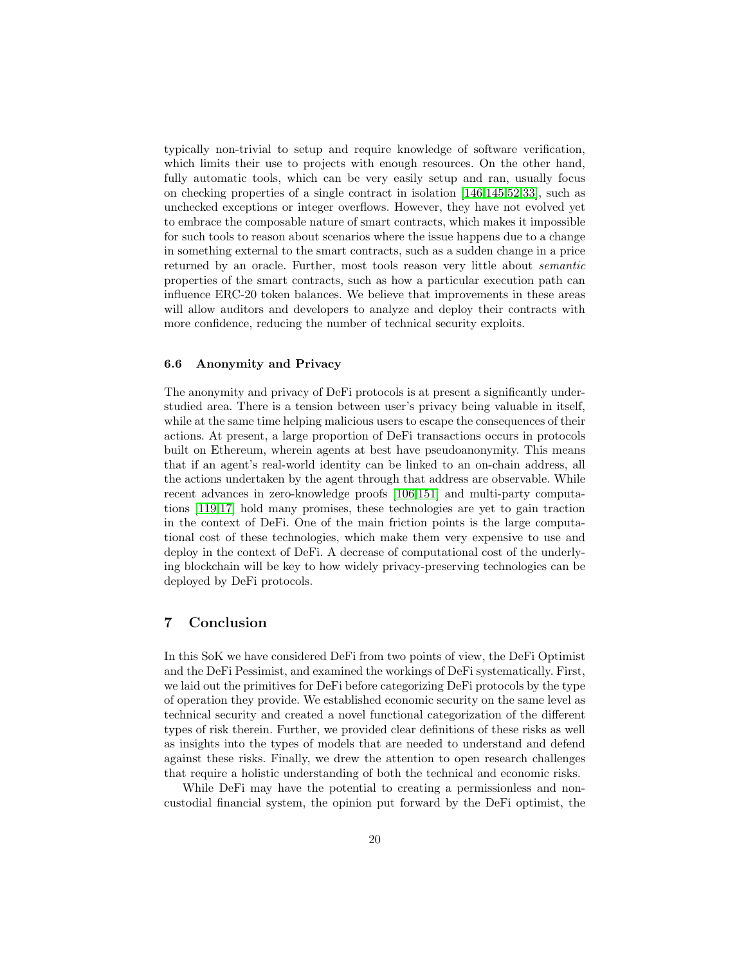typically non-trivial to setup and require knowledge of software verification, which limits their use to projects with enough resources. On the other hand, fully automatic tools, which can be very easily setup and ran, usually focus on checking properties of a single contract in isolation [\[146,](#page-27-15)[145,](#page-26-6)[52,](#page-22-13)[33\]](#page-21-14), such as unchecked exceptions or integer overflows. However, they have not evolved yet to embrace the composable nature of smart contracts, which makes it impossible for such tools to reason about scenarios where the issue happens due to a change in something external to the smart contracts, such as a sudden change in a price returned by an oracle. Further, most tools reason very little about semantic properties of the smart contracts, such as how a particular execution path can influence ERC-20 token balances. We believe that improvements in these areas will allow auditors and developers to analyze and deploy their contracts with more confidence, reducing the number of technical security exploits.

#### 6.6 Anonymity and Privacy

The anonymity and privacy of DeFi protocols is at present a significantly understudied area. There is a tension between user's privacy being valuable in itself, while at the same time helping malicious users to escape the consequences of their actions. At present, a large proportion of DeFi transactions occurs in protocols built on Ethereum, wherein agents at best have pseudoanonymity. This means that if an agent's real-world identity can be linked to an on-chain address, all the actions undertaken by the agent through that address are observable. While recent advances in zero-knowledge proofs [\[106,](#page-25-13)[151\]](#page-27-18) and multi-party computations [\[119](#page-25-14)[,17\]](#page-21-15) hold many promises, these technologies are yet to gain traction in the context of DeFi. One of the main friction points is the large computational cost of these technologies, which make them very expensive to use and deploy in the context of DeFi. A decrease of computational cost of the underlying blockchain will be key to how widely privacy-preserving technologies can be deployed by DeFi protocols.

# 7 Conclusion

In this SoK we have considered DeFi from two points of view, the DeFi Optimist and the DeFi Pessimist, and examined the workings of DeFi systematically. First, we laid out the primitives for DeFi before categorizing DeFi protocols by the type of operation they provide. We established economic security on the same level as technical security and created a novel functional categorization of the different types of risk therein. Further, we provided clear definitions of these risks as well as insights into the types of models that are needed to understand and defend against these risks. Finally, we drew the attention to open research challenges that require a holistic understanding of both the technical and economic risks.

While DeFi may have the potential to creating a permissionless and noncustodial financial system, the opinion put forward by the DeFi optimist, the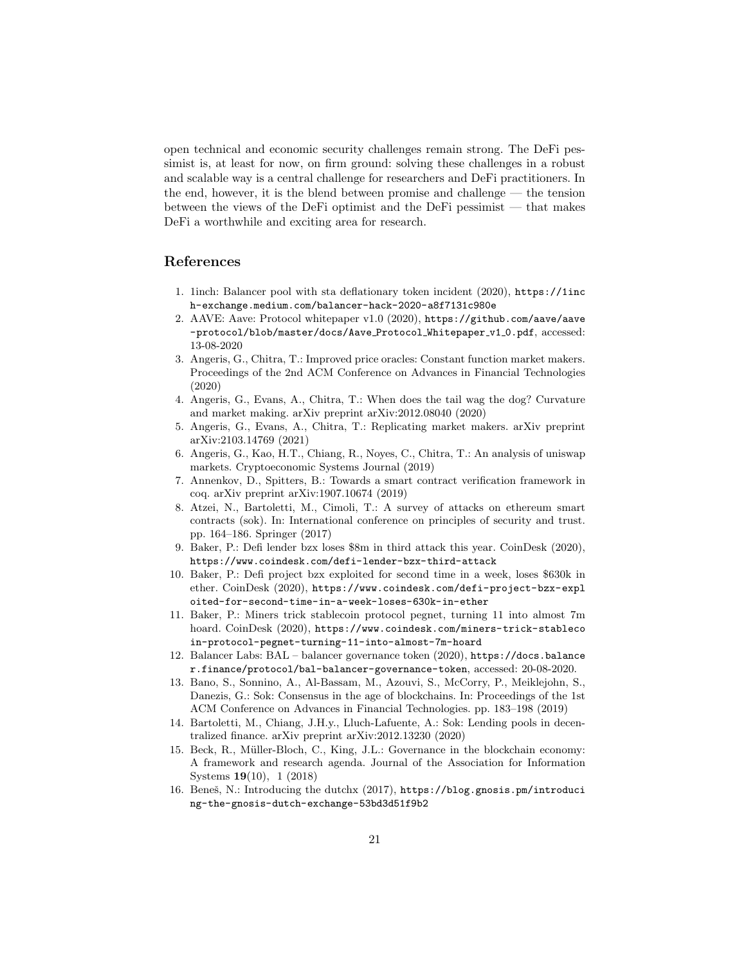open technical and economic security challenges remain strong. The DeFi pessimist is, at least for now, on firm ground: solving these challenges in a robust and scalable way is a central challenge for researchers and DeFi practitioners. In the end, however, it is the blend between promise and challenge — the tension between the views of the DeFi optimist and the DeFi pessimist — that makes DeFi a worthwhile and exciting area for research.

# References

- <span id="page-20-15"></span>1. 1inch: Balancer pool with sta deflationary token incident (2020), [https://1inc](https://1inch-exchange.medium.com/balancer-hack-2020-a8f7131c980e) [h-exchange.medium.com/balancer-hack-2020-a8f7131c980e](https://1inch-exchange.medium.com/balancer-hack-2020-a8f7131c980e)
- <span id="page-20-3"></span>2. AAVE: Aave: Protocol whitepaper v1.0 (2020), [https://github.com/aave/aave](https://github.com/aave/aave-protocol/blob/master/docs/Aave_Protocol_Whitepaper_v1_0.pdf) [-protocol/blob/master/docs/Aave](https://github.com/aave/aave-protocol/blob/master/docs/Aave_Protocol_Whitepaper_v1_0.pdf)\_Protocol\_Whitepaper\_v1\_0.pdf, accessed: 13-08-2020
- <span id="page-20-7"></span>3. Angeris, G., Chitra, T.: Improved price oracles: Constant function market makers. Proceedings of the 2nd ACM Conference on Advances in Financial Technologies (2020)
- <span id="page-20-10"></span>4. Angeris, G., Evans, A., Chitra, T.: When does the tail wag the dog? Curvature and market making. arXiv preprint arXiv:2012.08040 (2020)
- <span id="page-20-9"></span>5. Angeris, G., Evans, A., Chitra, T.: Replicating market makers. arXiv preprint arXiv:2103.14769 (2021)
- <span id="page-20-8"></span>6. Angeris, G., Kao, H.T., Chiang, R., Noyes, C., Chitra, T.: An analysis of uniswap markets. Cryptoeconomic Systems Journal (2019)
- <span id="page-20-13"></span>7. Annenkov, D., Spitters, B.: Towards a smart contract verification framework in coq. arXiv preprint arXiv:1907.10674 (2019)
- <span id="page-20-11"></span>8. Atzei, N., Bartoletti, M., Cimoli, T.: A survey of attacks on ethereum smart contracts (sok). In: International conference on principles of security and trust. pp. 164–186. Springer (2017)
- <span id="page-20-0"></span>9. Baker, P.: Defi lender bzx loses \$8m in third attack this year. CoinDesk (2020), <https://www.coindesk.com/defi-lender-bzx-third-attack>
- <span id="page-20-14"></span>10. Baker, P.: Defi project bzx exploited for second time in a week, loses \$630k in ether. CoinDesk (2020), [https://www.coindesk.com/defi-project-bzx-expl](https://www.coindesk.com/defi-project-bzx-exploited-for-second-time-in-a-week-loses-630k-in-ether) [oited-for-second-time-in-a-week-loses-630k-in-ether](https://www.coindesk.com/defi-project-bzx-exploited-for-second-time-in-a-week-loses-630k-in-ether)
- <span id="page-20-12"></span>11. Baker, P.: Miners trick stablecoin protocol pegnet, turning 11 into almost 7m hoard. CoinDesk (2020), [https://www.coindesk.com/miners-trick-stableco](https://www.coindesk.com/miners-trick-stablecoin-protocol-pegnet-turning-11-into-almost-7m-hoard) [in-protocol-pegnet-turning-11-into-almost-7m-hoard](https://www.coindesk.com/miners-trick-stablecoin-protocol-pegnet-turning-11-into-almost-7m-hoard)
- <span id="page-20-5"></span>12. Balancer Labs: BAL – balancer governance token (2020), [https://docs.balance](https://docs.balancer.finance/protocol/bal-balancer-governance-token) [r.finance/protocol/bal-balancer-governance-token](https://docs.balancer.finance/protocol/bal-balancer-governance-token), accessed: 20-08-2020.
- <span id="page-20-2"></span>13. Bano, S., Sonnino, A., Al-Bassam, M., Azouvi, S., McCorry, P., Meiklejohn, S., Danezis, G.: Sok: Consensus in the age of blockchains. In: Proceedings of the 1st ACM Conference on Advances in Financial Technologies. pp. 183–198 (2019)
- <span id="page-20-1"></span>14. Bartoletti, M., Chiang, J.H.y., Lluch-Lafuente, A.: Sok: Lending pools in decentralized finance. arXiv preprint arXiv:2012.13230 (2020)
- <span id="page-20-4"></span>15. Beck, R., Müller-Bloch, C., King, J.L.: Governance in the blockchain economy: A framework and research agenda. Journal of the Association for Information Systems 19(10), 1 (2018)
- <span id="page-20-6"></span>16. Beneš, N.: Introducing the dutchx (2017), [https://blog.gnosis.pm/introduci](https://blog.gnosis.pm/introducing-the-gnosis-dutch-exchange-53bd3d51f9b2) [ng-the-gnosis-dutch-exchange-53bd3d51f9b2](https://blog.gnosis.pm/introducing-the-gnosis-dutch-exchange-53bd3d51f9b2)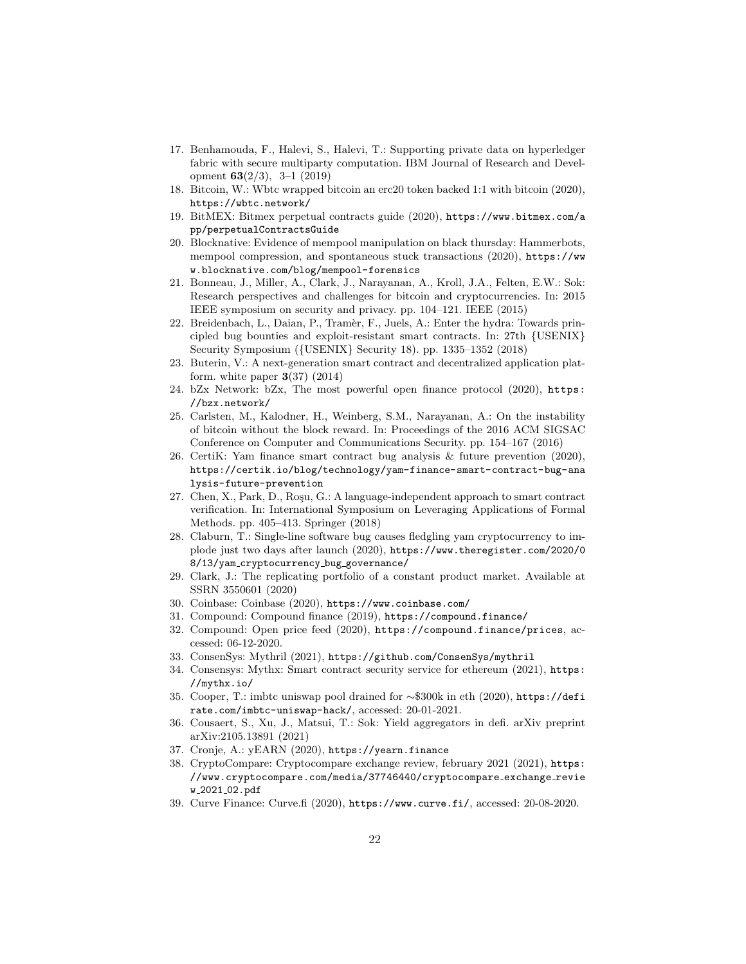- <span id="page-21-15"></span>17. Benhamouda, F., Halevi, S., Halevi, T.: Supporting private data on hyperledger fabric with secure multiparty computation. IBM Journal of Research and Development 63(2/3), 3–1 (2019)
- <span id="page-21-5"></span>18. Bitcoin, W.: Wbtc wrapped bitcoin an erc20 token backed 1:1 with bitcoin (2020), <https://wbtc.network/>
- <span id="page-21-21"></span>19. BitMEX: Bitmex perpetual contracts guide (2020), [https://www.bitmex.com/a](https://www.bitmex.com/app/perpetualContractsGuide) [pp/perpetualContractsGuide](https://www.bitmex.com/app/perpetualContractsGuide)
- <span id="page-21-10"></span>20. Blocknative: Evidence of mempool manipulation on black thursday: Hammerbots, mempool compression, and spontaneous stuck transactions (2020), [https://ww](https://www.blocknative.com/blog/mempool-forensics) [w.blocknative.com/blog/mempool-forensics](https://www.blocknative.com/blog/mempool-forensics)
- <span id="page-21-2"></span>21. Bonneau, J., Miller, A., Clark, J., Narayanan, A., Kroll, J.A., Felten, E.W.: Sok: Research perspectives and challenges for bitcoin and cryptocurrencies. In: 2015 IEEE symposium on security and privacy. pp. 104–121. IEEE (2015)
- <span id="page-21-9"></span>22. Breidenbach, L., Daian, P., Tram`er, F., Juels, A.: Enter the hydra: Towards principled bug bounties and exploit-resistant smart contracts. In: 27th {USENIX} Security Symposium ({USENIX} Security 18). pp. 1335–1352 (2018)
- <span id="page-21-22"></span>23. Buterin, V.: A next-generation smart contract and decentralized application platform. white paper  $3(37)$  (2014)
- <span id="page-21-18"></span>24. bZx Network: bZx, The most powerful open finance protocol (2020), [https:](https://bzx.network/) [//bzx.network/](https://bzx.network/)
- <span id="page-21-11"></span>25. Carlsten, M., Kalodner, H., Weinberg, S.M., Narayanan, A.: On the instability of bitcoin without the block reward. In: Proceedings of the 2016 ACM SIGSAC Conference on Computer and Communications Security. pp. 154–167 (2016)
- <span id="page-21-17"></span>26. CertiK: Yam finance smart contract bug analysis & future prevention (2020), [https://certik.io/blog/technology/yam-finance-smart-contract-bug-ana](https://certik.io/blog/technology/yam-finance-smart-contract-bug-analysis-future-prevention) [lysis-future-prevention](https://certik.io/blog/technology/yam-finance-smart-contract-bug-analysis-future-prevention)
- <span id="page-21-13"></span>27. Chen, X., Park, D., Roşu, G.: A language-independent approach to smart contract verification. In: International Symposium on Leveraging Applications of Formal Methods. pp. 405–413. Springer (2018)
- <span id="page-21-16"></span>28. Claburn, T.: Single-line software bug causes fledgling yam cryptocurrency to implode just two days after launch (2020), [https://www.theregister.com/2020/0](https://www.theregister.com/2020/08/13/yam_cryptocurrency_bug_governance/) 8/13/yam [cryptocurrency](https://www.theregister.com/2020/08/13/yam_cryptocurrency_bug_governance/) bug governance/
- <span id="page-21-20"></span>29. Clark, J.: The replicating portfolio of a constant product market. Available at SSRN 3550601 (2020)
- <span id="page-21-0"></span>30. Coinbase: Coinbase (2020), <https://www.coinbase.com/>
- <span id="page-21-3"></span>31. Compound: Compound finance (2019), <https://compound.finance/>
- <span id="page-21-19"></span>32. Compound: Open price feed (2020), <https://compound.finance/prices>, accessed: 06-12-2020.
- <span id="page-21-14"></span>33. ConsenSys: Mythril (2021), <https://github.com/ConsenSys/mythril>
- <span id="page-21-12"></span>34. Consensys: Mythx: Smart contract security service for ethereum (2021), [https:](https://mythx.io/) [//mythx.io/](https://mythx.io/)
- <span id="page-21-8"></span>35. Cooper, T.: imbtc uniswap pool drained for ∼\$300k in eth (2020), [https://defi](https://defirate.com/imbtc-uniswap-hack/) [rate.com/imbtc-uniswap-hack/](https://defirate.com/imbtc-uniswap-hack/), accessed: 20-01-2021.
- <span id="page-21-1"></span>36. Cousaert, S., Xu, J., Matsui, T.: Sok: Yield aggregators in defi. arXiv preprint arXiv:2105.13891 (2021)
- <span id="page-21-6"></span>37. Cronje, A.: yEARN (2020), <https://yearn.finance>
- <span id="page-21-7"></span>38. CryptoCompare: Cryptocompare exchange review, february 2021 (2021), [https:](https://www.cryptocompare.com/media/37746440/cryptocompare_exchange_review_2021_02.pdf) [//www.cryptocompare.com/media/37746440/cryptocompare](https://www.cryptocompare.com/media/37746440/cryptocompare_exchange_review_2021_02.pdf) exchange revie w 2021 [02.pdf](https://www.cryptocompare.com/media/37746440/cryptocompare_exchange_review_2021_02.pdf)
- <span id="page-21-4"></span>39. Curve Finance: Curve.fi (2020), <https://www.curve.fi/>, accessed: 20-08-2020.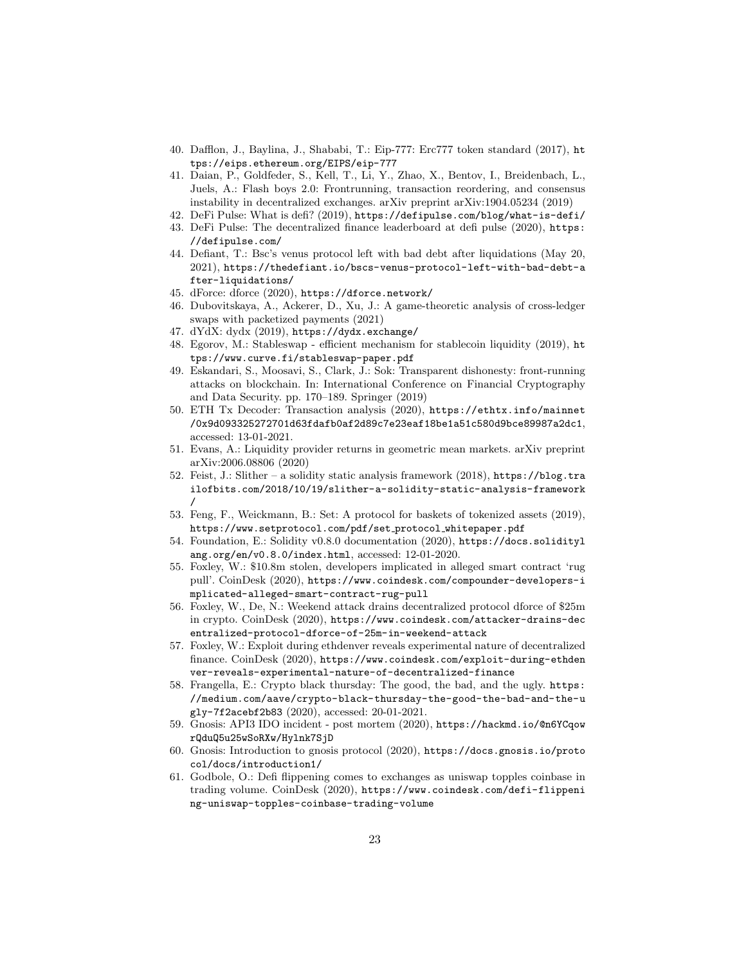- <span id="page-22-15"></span>40. Dafflon, J., Baylina, J., Shababi, T.: Eip-777: Erc777 token standard (2017), [ht](https://eips.ethereum.org/EIPS/eip-777) [tps://eips.ethereum.org/EIPS/eip-777](https://eips.ethereum.org/EIPS/eip-777)
- <span id="page-22-3"></span>41. Daian, P., Goldfeder, S., Kell, T., Li, Y., Zhao, X., Bentov, I., Breidenbach, L., Juels, A.: Flash boys 2.0: Frontrunning, transaction reordering, and consensus instability in decentralized exchanges. arXiv preprint arXiv:1904.05234 (2019)
- <span id="page-22-2"></span>42. DeFi Pulse: What is defi? (2019), <https://defipulse.com/blog/what-is-defi/>
- <span id="page-22-0"></span>43. DeFi Pulse: The decentralized finance leaderboard at defi pulse (2020), [https:](https://defipulse.com/) [//defipulse.com/](https://defipulse.com/)
- <span id="page-22-17"></span>44. Defiant, T.: Bsc's venus protocol left with bad debt after liquidations (May 20, 2021), [https://thedefiant.io/bscs-venus-protocol-left-with-bad-debt-a](https://thedefiant.io/bscs-venus-protocol-left-with-bad-debt-after-liquidations/) [fter-liquidations/](https://thedefiant.io/bscs-venus-protocol-left-with-bad-debt-after-liquidations/)
- <span id="page-22-9"></span>45. dForce: dforce (2020), <https://dforce.network/>
- <span id="page-22-4"></span>46. Dubovitskaya, A., Ackerer, D., Xu, J.: A game-theoretic analysis of cross-ledger swaps with packetized payments (2021)
- <span id="page-22-8"></span>47. dYdX: dydx (2019), <https://dydx.exchange/>
- <span id="page-22-6"></span>48. Egorov, M.: Stableswap - efficient mechanism for stablecoin liquidity (2019), [ht](https://www.curve.fi/stableswap-paper.pdf) [tps://www.curve.fi/stableswap-paper.pdf](https://www.curve.fi/stableswap-paper.pdf)
- <span id="page-22-11"></span>49. Eskandari, S., Moosavi, S., Clark, J.: Sok: Transparent dishonesty: front-running attacks on blockchain. In: International Conference on Financial Cryptography and Data Security. pp. 170–189. Springer (2019)
- <span id="page-22-16"></span>50. ETH Tx Decoder: Transaction analysis (2020), [https://ethtx.info/mainnet](https://ethtx.info/mainnet/0x9d093325272701d63fdafb0af2d89c7e23eaf18be1a51c580d9bce89987a2dc1) [/0x9d093325272701d63fdafb0af2d89c7e23eaf18be1a51c580d9bce89987a2dc1](https://ethtx.info/mainnet/0x9d093325272701d63fdafb0af2d89c7e23eaf18be1a51c580d9bce89987a2dc1), accessed: 13-01-2021.
- <span id="page-22-18"></span>51. Evans, A.: Liquidity provider returns in geometric mean markets. arXiv preprint arXiv:2006.08806 (2020)
- <span id="page-22-13"></span>52. Feist, J.: Slither – a solidity static analysis framework (2018), [https://blog.tra](https://blog.trailofbits.com/2018/10/19/slither-a-solidity-static-analysis-framework/) [ilofbits.com/2018/10/19/slither-a-solidity-static-analysis-framework](https://blog.trailofbits.com/2018/10/19/slither-a-solidity-static-analysis-framework/) [/](https://blog.trailofbits.com/2018/10/19/slither-a-solidity-static-analysis-framework/)
- <span id="page-22-7"></span>53. Feng, F., Weickmann, B.: Set: A protocol for baskets of tokenized assets (2019), [https://www.setprotocol.com/pdf/set](https://www.setprotocol.com/pdf/set_protocol_whitepaper.pdf) protocol whitepaper.pdf
- <span id="page-22-10"></span>54. Foundation, E.: Solidity v0.8.0 documentation (2020), [https://docs.solidityl](https://docs.soliditylang.org/en/v0.8.0/index.html) [ang.org/en/v0.8.0/index.html](https://docs.soliditylang.org/en/v0.8.0/index.html), accessed: 12-01-2020.
- <span id="page-22-21"></span>55. Foxley, W.: \$10.8m stolen, developers implicated in alleged smart contract 'rug pull'. CoinDesk (2020), [https://www.coindesk.com/compounder-developers-i](https://www.coindesk.com/compounder-developers-implicated-alleged-smart-contract-rug-pull) [mplicated-alleged-smart-contract-rug-pull](https://www.coindesk.com/compounder-developers-implicated-alleged-smart-contract-rug-pull)
- <span id="page-22-14"></span>56. Foxley, W., De, N.: Weekend attack drains decentralized protocol dforce of \$25m in crypto. CoinDesk (2020), [https://www.coindesk.com/attacker-drains-dec](https://www.coindesk.com/attacker-drains-decentralized-protocol-dforce-of-25m-in-weekend-attack) [entralized-protocol-dforce-of-25m-in-weekend-attack](https://www.coindesk.com/attacker-drains-decentralized-protocol-dforce-of-25m-in-weekend-attack)
- <span id="page-22-20"></span>57. Foxley, W.: Exploit during ethdenver reveals experimental nature of decentralized finance. CoinDesk (2020), [https://www.coindesk.com/exploit-during-ethden](https://www.coindesk.com/exploit-during-ethdenver-reveals-experimental-nature-of-decentralized-finance) [ver-reveals-experimental-nature-of-decentralized-finance](https://www.coindesk.com/exploit-during-ethdenver-reveals-experimental-nature-of-decentralized-finance)
- <span id="page-22-12"></span>58. Frangella, E.: Crypto black thursday: The good, the bad, and the ugly. [https:](https://medium.com/aave/crypto-black-thursday-the-good-the-bad-and-the-ugly-7f2acebf2b83) [//medium.com/aave/crypto-black-thursday-the-good-the-bad-and-the-u](https://medium.com/aave/crypto-black-thursday-the-good-the-bad-and-the-ugly-7f2acebf2b83) [gly-7f2acebf2b83](https://medium.com/aave/crypto-black-thursday-the-good-the-bad-and-the-ugly-7f2acebf2b83) (2020), accessed: 20-01-2021.
- <span id="page-22-19"></span>59. Gnosis: API3 IDO incident - post mortem (2020), [https://hackmd.io/@n6YCqow](https://hackmd.io/@n6YCqowrQduQ5u25wSoRXw/Hylnk7SjD) [rQduQ5u25wSoRXw/Hylnk7SjD](https://hackmd.io/@n6YCqowrQduQ5u25wSoRXw/Hylnk7SjD)
- <span id="page-22-5"></span>60. Gnosis: Introduction to gnosis protocol (2020), [https://docs.gnosis.io/proto](https://docs.gnosis.io/protocol/docs/introduction1/) [col/docs/introduction1/](https://docs.gnosis.io/protocol/docs/introduction1/)
- <span id="page-22-1"></span>61. Godbole, O.: Defi flippening comes to exchanges as uniswap topples coinbase in trading volume. CoinDesk (2020), [https://www.coindesk.com/defi-flippeni](https://www.coindesk.com/defi-flippening-uniswap-topples-coinbase-trading-volume) [ng-uniswap-topples-coinbase-trading-volume](https://www.coindesk.com/defi-flippening-uniswap-topples-coinbase-trading-volume)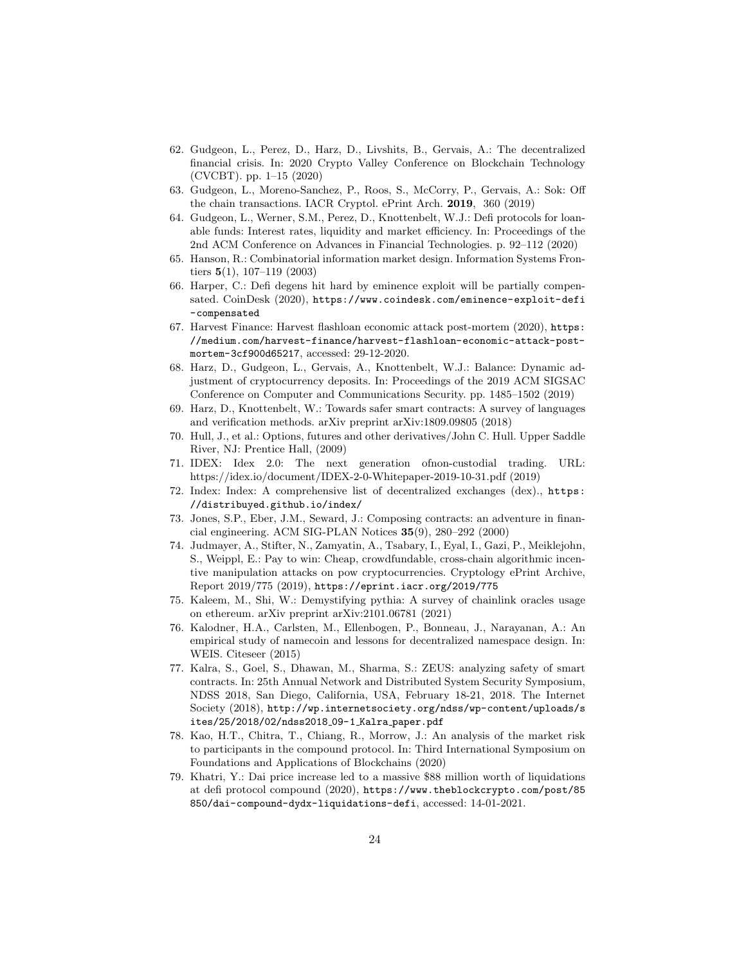- <span id="page-23-8"></span>62. Gudgeon, L., Perez, D., Harz, D., Livshits, B., Gervais, A.: The decentralized financial crisis. In: 2020 Crypto Valley Conference on Blockchain Technology (CVCBT). pp. 1–15 (2020)
- <span id="page-23-1"></span>63. Gudgeon, L., Moreno-Sanchez, P., Roos, S., McCorry, P., Gervais, A.: Sok: Off the chain transactions. IACR Cryptol. ePrint Arch. 2019, 360 (2019)
- <span id="page-23-6"></span>64. Gudgeon, L., Werner, S.M., Perez, D., Knottenbelt, W.J.: Defi protocols for loanable funds: Interest rates, liquidity and market efficiency. In: Proceedings of the 2nd ACM Conference on Advances in Financial Technologies. p. 92–112 (2020)
- <span id="page-23-5"></span>65. Hanson, R.: Combinatorial information market design. Information Systems Frontiers  $5(1)$ , 107-119 (2003)
- <span id="page-23-17"></span>66. Harper, C.: Defi degens hit hard by eminence exploit will be partially compensated. CoinDesk (2020), [https://www.coindesk.com/eminence-exploit-defi](https://www.coindesk.com/eminence-exploit-defi-compensated) [-compensated](https://www.coindesk.com/eminence-exploit-defi-compensated)
- <span id="page-23-0"></span>67. Harvest Finance: Harvest flashloan economic attack post-mortem (2020), [https:](https://medium.com/harvest-finance/harvest-flashloan-economic-attack-post-mortem-3cf900d65217) [//medium.com/harvest-finance/harvest-flashloan-economic-attack-post](https://medium.com/harvest-finance/harvest-flashloan-economic-attack-post-mortem-3cf900d65217)[mortem-3cf900d65217](https://medium.com/harvest-finance/harvest-flashloan-economic-attack-post-mortem-3cf900d65217), accessed: 29-12-2020.
- <span id="page-23-11"></span>68. Harz, D., Gudgeon, L., Gervais, A., Knottenbelt, W.J.: Balance: Dynamic adjustment of cryptocurrency deposits. In: Proceedings of the 2019 ACM SIGSAC Conference on Computer and Communications Security. pp. 1485–1502 (2019)
- <span id="page-23-15"></span>69. Harz, D., Knottenbelt, W.: Towards safer smart contracts: A survey of languages and verification methods. arXiv preprint arXiv:1809.09805 (2018)
- <span id="page-23-10"></span>70. Hull, J., et al.: Options, futures and other derivatives/John C. Hull. Upper Saddle River, NJ: Prentice Hall, (2009)
- <span id="page-23-4"></span>71. IDEX: Idex 2.0: The next generation ofnon-custodial trading. URL: https://idex.io/document/IDEX-2-0-Whitepaper-2019-10-31.pdf (2019)
- <span id="page-23-3"></span>72. Index: Index: A comprehensive list of decentralized exchanges (dex)., [https:](https://distribuyed.github.io/index/) [//distribuyed.github.io/index/](https://distribuyed.github.io/index/)
- <span id="page-23-2"></span>73. Jones, S.P., Eber, J.M., Seward, J.: Composing contracts: an adventure in financial engineering. ACM SIG-PLAN Notices 35(9), 280–292 (2000)
- <span id="page-23-13"></span>74. Judmayer, A., Stifter, N., Zamyatin, A., Tsabary, I., Eyal, I., Gazi, P., Meiklejohn, S., Weippl, E.: Pay to win: Cheap, crowdfundable, cross-chain algorithmic incentive manipulation attacks on pow cryptocurrencies. Cryptology ePrint Archive, Report 2019/775 (2019), <https://eprint.iacr.org/2019/775>
- <span id="page-23-14"></span>75. Kaleem, M., Shi, W.: Demystifying pythia: A survey of chainlink oracles usage on ethereum. arXiv preprint arXiv:2101.06781 (2021)
- <span id="page-23-9"></span>76. Kalodner, H.A., Carlsten, M., Ellenbogen, P., Bonneau, J., Narayanan, A.: An empirical study of namecoin and lessons for decentralized namespace design. In: WEIS. Citeseer (2015)
- <span id="page-23-7"></span>77. Kalra, S., Goel, S., Dhawan, M., Sharma, S.: ZEUS: analyzing safety of smart contracts. In: 25th Annual Network and Distributed System Security Symposium, NDSS 2018, San Diego, California, USA, February 18-21, 2018. The Internet Society (2018), [http://wp.internetsociety.org/ndss/wp-content/uploads/s](http://wp.internetsociety.org/ndss/wp-content/uploads/sites/25/2018/02/ndss2018_09-1_Kalra_paper.pdf) [ites/25/2018/02/ndss2018](http://wp.internetsociety.org/ndss/wp-content/uploads/sites/25/2018/02/ndss2018_09-1_Kalra_paper.pdf) 09-1 Kalra paper.pdf
- <span id="page-23-12"></span>78. Kao, H.T., Chitra, T., Chiang, R., Morrow, J.: An analysis of the market risk to participants in the compound protocol. In: Third International Symposium on Foundations and Applications of Blockchains (2020)
- <span id="page-23-16"></span>79. Khatri, Y.: Dai price increase led to a massive \$88 million worth of liquidations at defi protocol compound (2020), [https://www.theblockcrypto.com/post/85](https://www.theblockcrypto.com/post/85850/dai-compound-dydx-liquidations-defi) [850/dai-compound-dydx-liquidations-defi](https://www.theblockcrypto.com/post/85850/dai-compound-dydx-liquidations-defi), accessed: 14-01-2021.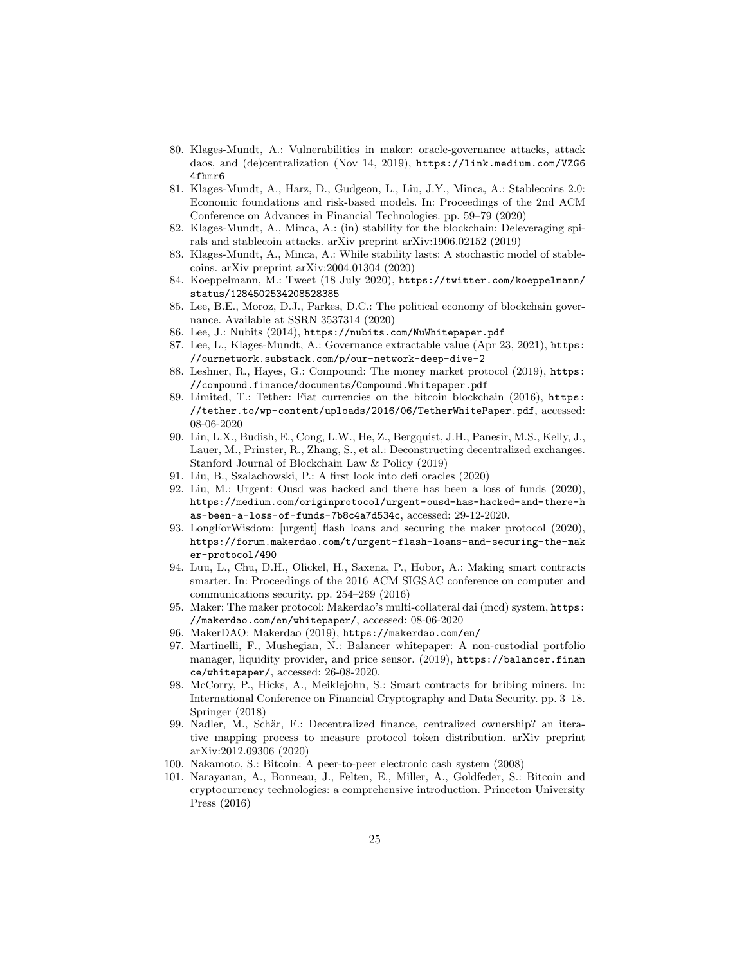- <span id="page-24-18"></span>80. Klages-Mundt, A.: Vulnerabilities in maker: oracle-governance attacks, attack daos, and (de)centralization (Nov 14, 2019), [https://link.medium.com/VZG6](https://link.medium.com/VZG64fhmr6) [4fhmr6](https://link.medium.com/VZG64fhmr6)
- <span id="page-24-6"></span>81. Klages-Mundt, A., Harz, D., Gudgeon, L., Liu, J.Y., Minca, A.: Stablecoins 2.0: Economic foundations and risk-based models. In: Proceedings of the 2nd ACM Conference on Advances in Financial Technologies. pp. 59–79 (2020)
- <span id="page-24-16"></span>82. Klages-Mundt, A., Minca, A.: (in) stability for the blockchain: Deleveraging spirals and stablecoin attacks. arXiv preprint arXiv:1906.02152 (2019)
- <span id="page-24-17"></span>83. Klages-Mundt, A., Minca, A.: While stability lasts: A stochastic model of stablecoins. arXiv preprint arXiv:2004.01304 (2020)
- <span id="page-24-21"></span>84. Koeppelmann, M.: Tweet (18 July 2020), [https://twitter.com/koeppelmann/](https://twitter.com/koeppelmann/status/1284502534208528385) [status/1284502534208528385](https://twitter.com/koeppelmann/status/1284502534208528385)
- <span id="page-24-8"></span>85. Lee, B.E., Moroz, D.J., Parkes, D.C.: The political economy of blockchain governance. Available at SSRN 3537314 (2020)
- <span id="page-24-13"></span>86. Lee, J.: Nubits (2014), <https://nubits.com/NuWhitepaper.pdf>
- <span id="page-24-19"></span>87. Lee, L., Klages-Mundt, A.: Governance extractable value (Apr 23, 2021), [https:](https://ournetwork.substack.com/p/our-network-deep-dive-2) [//ournetwork.substack.com/p/our-network-deep-dive-2](https://ournetwork.substack.com/p/our-network-deep-dive-2)
- <span id="page-24-4"></span>88. Leshner, R., Hayes, G.: Compound: The money market protocol (2019), [https:](https://compound.finance/documents/Compound.Whitepaper.pdf) [//compound.finance/documents/Compound.Whitepaper.pdf](https://compound.finance/documents/Compound.Whitepaper.pdf)
- <span id="page-24-12"></span>89. Limited, T.: Tether: Fiat currencies on the bitcoin blockchain (2016), [https:](https://tether.to/wp-content/uploads/2016/06/TetherWhitePaper.pdf) [//tether.to/wp-content/uploads/2016/06/TetherWhitePaper.pdf](https://tether.to/wp-content/uploads/2016/06/TetherWhitePaper.pdf), accessed: 08-06-2020
- <span id="page-24-10"></span>90. Lin, L.X., Budish, E., Cong, L.W., He, Z., Bergquist, J.H., Panesir, M.S., Kelly, J., Lauer, M., Prinster, R., Zhang, S., et al.: Deconstructing decentralized exchanges. Stanford Journal of Blockchain Law & Policy (2019)
- <span id="page-24-7"></span>91. Liu, B., Szalachowski, P.: A first look into defi oracles (2020)
- <span id="page-24-1"></span>92. Liu, M.: Urgent: Ousd was hacked and there has been a loss of funds (2020), [https://medium.com/originprotocol/urgent-ousd-has-hacked-and-there-h](https://medium.com/originprotocol/urgent-ousd-has-hacked-and-there-has-been-a-loss-of-funds-7b8c4a7d534c) [as-been-a-loss-of-funds-7b8c4a7d534c](https://medium.com/originprotocol/urgent-ousd-has-hacked-and-there-has-been-a-loss-of-funds-7b8c4a7d534c), accessed: 29-12-2020.
- <span id="page-24-15"></span>93. LongForWisdom: [urgent] flash loans and securing the maker protocol (2020), [https://forum.makerdao.com/t/urgent-flash-loans-and-securing-the-mak](https://forum.makerdao.com/t/urgent-flash-loans-and-securing-the-maker-protocol/490) [er-protocol/490](https://forum.makerdao.com/t/urgent-flash-loans-and-securing-the-maker-protocol/490)
- <span id="page-24-14"></span>94. Luu, L., Chu, D.H., Olickel, H., Saxena, P., Hobor, A.: Making smart contracts smarter. In: Proceedings of the 2016 ACM SIGSAC conference on computer and communications security. pp. 254–269 (2016)
- <span id="page-24-5"></span>95. Maker: The maker protocol: Makerdao's multi-collateral dai (mcd) system, [https:](https://makerdao.com/en/whitepaper/) [//makerdao.com/en/whitepaper/](https://makerdao.com/en/whitepaper/), accessed: 08-06-2020
- <span id="page-24-9"></span>96. MakerDAO: Makerdao (2019), <https://makerdao.com/en/>
- <span id="page-24-11"></span>97. Martinelli, F., Mushegian, N.: Balancer whitepaper: A non-custodial portfolio manager, liquidity provider, and price sensor. (2019), [https://balancer.finan](https://balancer.finance/whitepaper/) [ce/whitepaper/](https://balancer.finance/whitepaper/), accessed: 26-08-2020.
- <span id="page-24-3"></span>98. McCorry, P., Hicks, A., Meiklejohn, S.: Smart contracts for bribing miners. In: International Conference on Financial Cryptography and Data Security. pp. 3–18. Springer (2018)
- <span id="page-24-20"></span>99. Nadler, M., Schär, F.: Decentralized finance, centralized ownership? an iterative mapping process to measure protocol token distribution. arXiv preprint arXiv:2012.09306 (2020)
- <span id="page-24-0"></span>100. Nakamoto, S.: Bitcoin: A peer-to-peer electronic cash system (2008)
- <span id="page-24-2"></span>101. Narayanan, A., Bonneau, J., Felten, E., Miller, A., Goldfeder, S.: Bitcoin and cryptocurrency technologies: a comprehensive introduction. Princeton University Press (2016)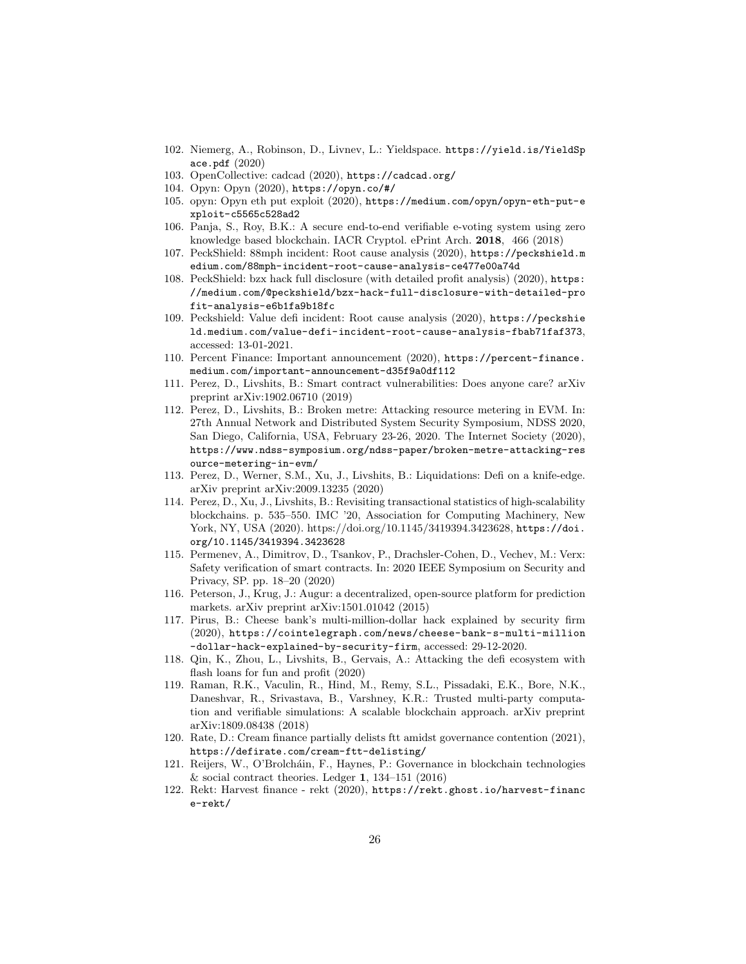- <span id="page-25-16"></span>102. Niemerg, A., Robinson, D., Livnev, L.: Yieldspace. [https://yield.is/YieldSp](https://yield.is/YieldSpace.pdf) [ace.pdf](https://yield.is/YieldSpace.pdf) (2020)
- <span id="page-25-11"></span>103. OpenCollective: cadcad (2020), <https://cadcad.org/>
- <span id="page-25-5"></span>104. Opyn: Opyn (2020), <https://opyn.co/#/>
- <span id="page-25-18"></span>105. opyn: Opyn eth put exploit (2020), [https://medium.com/opyn/opyn-eth-put-e](https://medium.com/opyn/opyn-eth-put-exploit-c5565c528ad2) [xploit-c5565c528ad2](https://medium.com/opyn/opyn-eth-put-exploit-c5565c528ad2)
- <span id="page-25-13"></span>106. Panja, S., Roy, B.K.: A secure end-to-end verifiable e-voting system using zero knowledge based blockchain. IACR Cryptol. ePrint Arch. 2018, 466 (2018)
- <span id="page-25-20"></span>107. PeckShield: 88mph incident: Root cause analysis (2020), [https://peckshield.m](https://peckshield.medium.com/88mph-incident-root-cause-analysis-ce477e00a74d) [edium.com/88mph-incident-root-cause-analysis-ce477e00a74d](https://peckshield.medium.com/88mph-incident-root-cause-analysis-ce477e00a74d)
- <span id="page-25-15"></span>108. PeckShield: bzx hack full disclosure (with detailed profit analysis) (2020), [https:](https://medium.com/@peckshield/bzx-hack-full-disclosure-with-detailed-profit-analysis-e6b1fa9b18fc) [//medium.com/@peckshield/bzx-hack-full-disclosure-with-detailed-pro](https://medium.com/@peckshield/bzx-hack-full-disclosure-with-detailed-profit-analysis-e6b1fa9b18fc) [fit-analysis-e6b1fa9b18fc](https://medium.com/@peckshield/bzx-hack-full-disclosure-with-detailed-profit-analysis-e6b1fa9b18fc)
- <span id="page-25-7"></span>109. Peckshield: Value defi incident: Root cause analysis (2020), [https://peckshie](https://peckshield.medium.com/value-defi-incident-root-cause-analysis-fbab71faf373) [ld.medium.com/value-defi-incident-root-cause-analysis-fbab71faf373](https://peckshield.medium.com/value-defi-incident-root-cause-analysis-fbab71faf373), accessed: 13-01-2021.
- <span id="page-25-19"></span>110. Percent Finance: Important announcement (2020), [https://percent-finance.](https://percent-finance.medium.com/important-announcement-d35f9a0df112) [medium.com/important-announcement-d35f9a0df112](https://percent-finance.medium.com/important-announcement-d35f9a0df112)
- <span id="page-25-6"></span>111. Perez, D., Livshits, B.: Smart contract vulnerabilities: Does anyone care? arXiv preprint arXiv:1902.06710 (2019)
- <span id="page-25-17"></span>112. Perez, D., Livshits, B.: Broken metre: Attacking resource metering in EVM. In: 27th Annual Network and Distributed System Security Symposium, NDSS 2020, San Diego, California, USA, February 23-26, 2020. The Internet Society (2020), [https://www.ndss-symposium.org/ndss-paper/broken-metre-attacking-res](https://www.ndss-symposium.org/ndss-paper/broken-metre-attacking-resource-metering-in-evm/) [ource-metering-in-evm/](https://www.ndss-symposium.org/ndss-paper/broken-metre-attacking-resource-metering-in-evm/)
- <span id="page-25-3"></span>113. Perez, D., Werner, S.M., Xu, J., Livshits, B.: Liquidations: Defi on a knife-edge. arXiv preprint arXiv:2009.13235 (2020)
- <span id="page-25-0"></span>114. Perez, D., Xu, J., Livshits, B.: Revisiting transactional statistics of high-scalability blockchains. p. 535–550. IMC '20, Association for Computing Machinery, New York, NY, USA (2020). [https://doi.org/10.1145/3419394.3423628,](https://doi.org/10.1145/3419394.3423628) [https://doi.](https://doi.org/10.1145/3419394.3423628) [org/10.1145/3419394.3423628](https://doi.org/10.1145/3419394.3423628)
- <span id="page-25-12"></span>115. Permenev, A., Dimitrov, D., Tsankov, P., Drachsler-Cohen, D., Vechev, M.: Verx: Safety verification of smart contracts. In: 2020 IEEE Symposium on Security and Privacy, SP. pp. 18–20 (2020)
- <span id="page-25-1"></span>116. Peterson, J., Krug, J.: Augur: a decentralized, open-source platform for prediction markets. arXiv preprint arXiv:1501.01042 (2015)
- <span id="page-25-10"></span>117. Pirus, B.: Cheese bank's multi-million-dollar hack explained by security firm (2020), [https://cointelegraph.com/news/cheese-bank-s-multi-million](https://cointelegraph.com/news/cheese-bank-s-multi-million-dollar-hack-explained-by-security-firm) [-dollar-hack-explained-by-security-firm](https://cointelegraph.com/news/cheese-bank-s-multi-million-dollar-hack-explained-by-security-firm), accessed: 29-12-2020.
- <span id="page-25-4"></span>118. Qin, K., Zhou, L., Livshits, B., Gervais, A.: Attacking the defi ecosystem with flash loans for fun and profit (2020)
- <span id="page-25-14"></span>119. Raman, R.K., Vaculin, R., Hind, M., Remy, S.L., Pissadaki, E.K., Bore, N.K., Daneshvar, R., Srivastava, B., Varshney, K.R.: Trusted multi-party computation and verifiable simulations: A scalable blockchain approach. arXiv preprint arXiv:1809.08438 (2018)
- <span id="page-25-9"></span>120. Rate, D.: Cream finance partially delists ftt amidst governance contention (2021), <https://defirate.com/cream-ftt-delisting/>
- <span id="page-25-2"></span>121. Reijers, W., O'Brolcháin, F., Haynes, P.: Governance in blockchain technologies  $&$  social contract theories. Ledger 1, 134–151 (2016)
- <span id="page-25-8"></span>122. Rekt: Harvest finance - rekt (2020), [https://rekt.ghost.io/harvest-financ](https://rekt.ghost.io/harvest-finance-rekt/) [e-rekt/](https://rekt.ghost.io/harvest-finance-rekt/)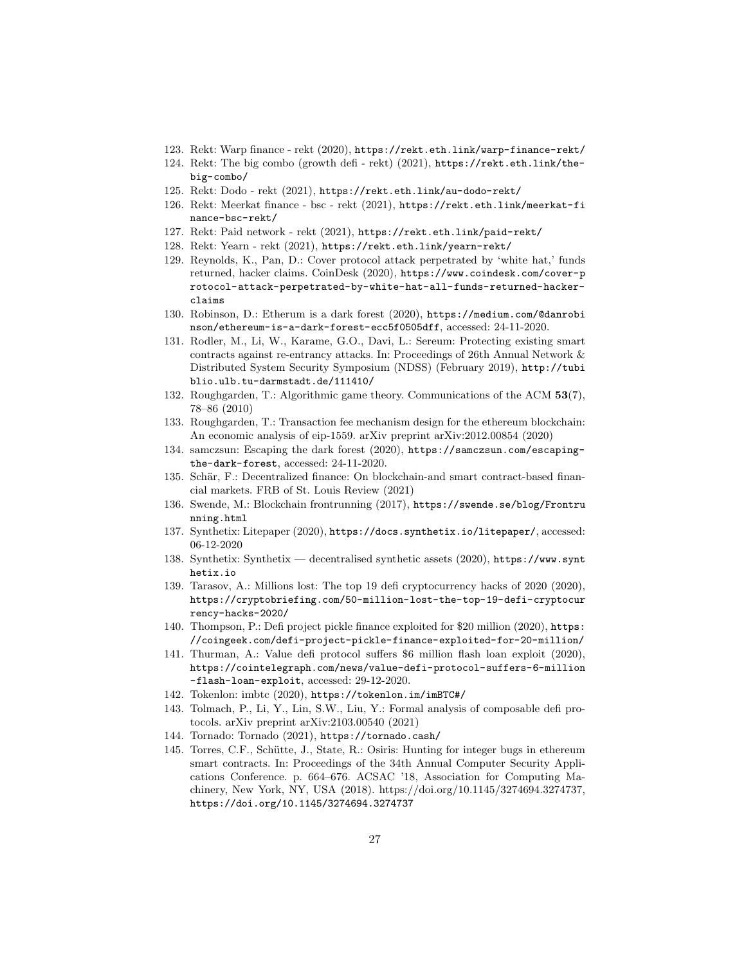- <span id="page-26-17"></span>123. Rekt: Warp finance - rekt (2020), <https://rekt.eth.link/warp-finance-rekt/>
- <span id="page-26-19"></span>124. Rekt: The big combo (growth defi - rekt) (2021), [https://rekt.eth.link/the](https://rekt.eth.link/the-big-combo/)[big-combo/](https://rekt.eth.link/the-big-combo/)
- <span id="page-26-22"></span>125. Rekt: Dodo - rekt (2021), <https://rekt.eth.link/au-dodo-rekt/>
- <span id="page-26-20"></span>126. Rekt: Meerkat finance - bsc - rekt (2021), [https://rekt.eth.link/meerkat-fi](https://rekt.eth.link/meerkat-finance-bsc-rekt/) [nance-bsc-rekt/](https://rekt.eth.link/meerkat-finance-bsc-rekt/)
- <span id="page-26-21"></span>127. Rekt: Paid network - rekt (2021), <https://rekt.eth.link/paid-rekt/>
- <span id="page-26-18"></span>128. Rekt: Yearn - rekt (2021), <https://rekt.eth.link/yearn-rekt/>
- <span id="page-26-0"></span>129. Reynolds, K., Pan, D.: Cover protocol attack perpetrated by 'white hat,' funds returned, hacker claims. CoinDesk (2020), [https://www.coindesk.com/cover-p](https://www.coindesk.com/cover-protocol-attack-perpetrated-by-white-hat-all-funds-returned-hacker-claims) [rotocol-attack-perpetrated-by-white-hat-all-funds-returned-hacker](https://www.coindesk.com/cover-protocol-attack-perpetrated-by-white-hat-all-funds-returned-hacker-claims)[claims](https://www.coindesk.com/cover-protocol-attack-perpetrated-by-white-hat-all-funds-returned-hacker-claims)
- <span id="page-26-7"></span>130. Robinson, D.: Etherum is a dark forest (2020), [https://medium.com/@danrobi](https://medium.com/@danrobinson/ethereum-is-a-dark-forest-ecc5f0505dff) [nson/ethereum-is-a-dark-forest-ecc5f0505dff](https://medium.com/@danrobinson/ethereum-is-a-dark-forest-ecc5f0505dff), accessed: 24-11-2020.
- <span id="page-26-5"></span>131. Rodler, M., Li, W., Karame, G.O., Davi, L.: Sereum: Protecting existing smart contracts against re-entrancy attacks. In: Proceedings of 26th Annual Network & Distributed System Security Symposium (NDSS) (February 2019), [http://tubi](http://tubiblio.ulb.tu-darmstadt.de/111410/) [blio.ulb.tu-darmstadt.de/111410/](http://tubiblio.ulb.tu-darmstadt.de/111410/)
- <span id="page-26-10"></span>132. Roughgarden, T.: Algorithmic game theory. Communications of the ACM 53(7), 78–86 (2010)
- <span id="page-26-11"></span>133. Roughgarden, T.: Transaction fee mechanism design for the ethereum blockchain: An economic analysis of eip-1559. arXiv preprint arXiv:2012.00854 (2020)
- <span id="page-26-8"></span>134. samczsun: Escaping the dark forest (2020), [https://samczsun.com/escaping](https://samczsun.com/escaping-the-dark-forest)[the-dark-forest](https://samczsun.com/escaping-the-dark-forest), accessed: 24-11-2020.
- <span id="page-26-1"></span>135. Schär, F.: Decentralized finance: On blockchain-and smart contract-based financial markets. FRB of St. Louis Review (2021)
- <span id="page-26-9"></span>136. Swende, M.: Blockchain frontrunning (2017), [https://swende.se/blog/Frontru](https://swende.se/blog/Frontrunning.html) [nning.html](https://swende.se/blog/Frontrunning.html)
- <span id="page-26-2"></span>137. Synthetix: Litepaper (2020), <https://docs.synthetix.io/litepaper/>, accessed: 06-12-2020
- <span id="page-26-3"></span>138. Synthetix: Synthetix — decentralised synthetic assets (2020), [https://www.synt](https://www.synthetix.io) [hetix.io](https://www.synthetix.io)
- <span id="page-26-15"></span>139. Tarasov, A.: Millions lost: The top 19 defi cryptocurrency hacks of 2020 (2020), [https://cryptobriefing.com/50-million-lost-the-top-19-defi-cryptocur](https://cryptobriefing.com/50-million-lost-the-top-19-defi-cryptocurrency-hacks-2020/) [rency-hacks-2020/](https://cryptobriefing.com/50-million-lost-the-top-19-defi-cryptocurrency-hacks-2020/)
- <span id="page-26-16"></span>140. Thompson, P.: Defi project pickle finance exploited for \$20 million (2020), [https:](https://coingeek.com/defi-project-pickle-finance-exploited-for-20-million/) [//coingeek.com/defi-project-pickle-finance-exploited-for-20-million/](https://coingeek.com/defi-project-pickle-finance-exploited-for-20-million/)
- <span id="page-26-12"></span>141. Thurman, A.: Value defi protocol suffers \$6 million flash loan exploit (2020), [https://cointelegraph.com/news/value-defi-protocol-suffers-6-million](https://cointelegraph.com/news/value-defi-protocol-suffers-6-million-flash-loan-exploit) [-flash-loan-exploit](https://cointelegraph.com/news/value-defi-protocol-suffers-6-million-flash-loan-exploit), accessed: 29-12-2020.
- <span id="page-26-14"></span>142. Tokenlon: imbtc (2020), <https://tokenlon.im/imBTC#/>
- <span id="page-26-13"></span>143. Tolmach, P., Li, Y., Lin, S.W., Liu, Y.: Formal analysis of composable defi protocols. arXiv preprint arXiv:2103.00540 (2021)
- <span id="page-26-4"></span>144. Tornado: Tornado (2021), <https://tornado.cash/>
- <span id="page-26-6"></span>145. Torres, C.F., Schütte, J., State, R.: Osiris: Hunting for integer bugs in ethereum smart contracts. In: Proceedings of the 34th Annual Computer Security Applications Conference. p. 664–676. ACSAC '18, Association for Computing Machinery, New York, NY, USA (2018). [https://doi.org/10.1145/3274694.3274737,](https://doi.org/10.1145/3274694.3274737) <https://doi.org/10.1145/3274694.3274737>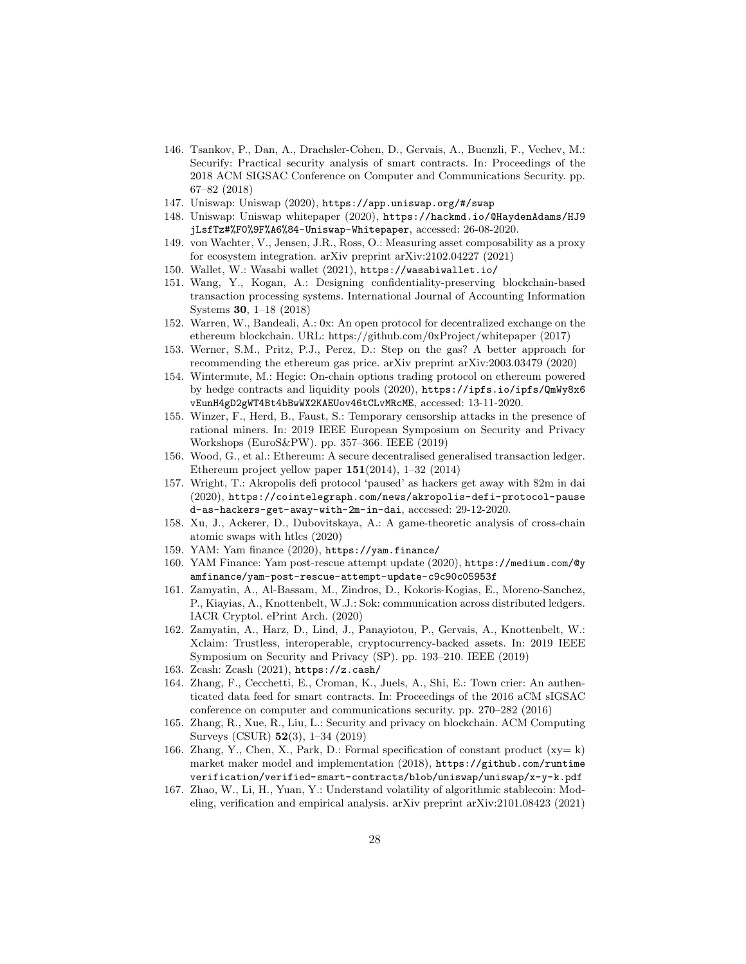- <span id="page-27-15"></span>146. Tsankov, P., Dan, A., Drachsler-Cohen, D., Gervais, A., Buenzli, F., Vechev, M.: Securify: Practical security analysis of smart contracts. In: Proceedings of the 2018 ACM SIGSAC Conference on Computer and Communications Security. pp. 67–82 (2018)
- <span id="page-27-0"></span>147. Uniswap: Uniswap (2020), <https://app.uniswap.org/#/swap>
- <span id="page-27-9"></span>148. Uniswap: Uniswap whitepaper (2020), [https://hackmd.io/@HaydenAdams/HJ9](https://hackmd.io/@HaydenAdams/HJ9jLsfTz#%F0%9F%A6%84-Uniswap-Whitepaper) [jLsfTz#%F0%9F%A6%84-Uniswap-Whitepaper](https://hackmd.io/@HaydenAdams/HJ9jLsfTz#%F0%9F%A6%84-Uniswap-Whitepaper), accessed: 26-08-2020.
- <span id="page-27-17"></span>149. von Wachter, V., Jensen, J.R., Ross, O.: Measuring asset composability as a proxy for ecosystem integration. arXiv preprint arXiv:2102.04227 (2021)
- <span id="page-27-13"></span>150. Wallet, W.: Wasabi wallet (2021), <https://wasabiwallet.io/>
- <span id="page-27-18"></span>151. Wang, Y., Kogan, A.: Designing confidentiality-preserving blockchain-based transaction processing systems. International Journal of Accounting Information Systems 30, 1–18 (2018)
- <span id="page-27-8"></span>152. Warren, W., Bandeali, A.: 0x: An open protocol for decentralized exchange on the ethereum blockchain. URL: https://github.com/0xProject/whitepaper (2017)
- <span id="page-27-21"></span>153. Werner, S.M., Pritz, P.J., Perez, D.: Step on the gas? A better approach for recommending the ethereum gas price. arXiv preprint arXiv:2003.03479 (2020)
- <span id="page-27-12"></span>154. Wintermute, M.: Hegic: On-chain options trading protocol on ethereum powered by hedge contracts and liquidity pools (2020), [https://ipfs.io/ipfs/QmWy8x6](https://ipfs.io/ipfs/QmWy8x6vEunH4gD2gWT4Bt4bBwWX2KAEUov46tCLvMRcME) [vEunH4gD2gWT4Bt4bBwWX2KAEUov46tCLvMRcME](https://ipfs.io/ipfs/QmWy8x6vEunH4gD2gWT4Bt4bBwWX2KAEUov46tCLvMRcME), accessed: 13-11-2020.
- <span id="page-27-5"></span>155. Winzer, F., Herd, B., Faust, S.: Temporary censorship attacks in the presence of rational miners. In: 2019 IEEE European Symposium on Security and Privacy Workshops (EuroS&PW). pp. 357–366. IEEE (2019)
- <span id="page-27-4"></span>156. Wood, G., et al.: Ethereum: A secure decentralised generalised transaction ledger. Ethereum project yellow paper  $151(2014)$ , 1–32 (2014)
- <span id="page-27-1"></span>157. Wright, T.: Akropolis defi protocol 'paused' as hackers get away with \$2m in dai (2020), [https://cointelegraph.com/news/akropolis-defi-protocol-pause](https://cointelegraph.com/news/akropolis-defi-protocol-paused-as-hackers-get-away-with-2m-in-dai) [d-as-hackers-get-away-with-2m-in-dai](https://cointelegraph.com/news/akropolis-defi-protocol-paused-as-hackers-get-away-with-2m-in-dai), accessed: 29-12-2020.
- <span id="page-27-7"></span>158. Xu, J., Ackerer, D., Dubovitskaya, A.: A game-theoretic analysis of cross-chain atomic swaps with htlcs (2020)
- <span id="page-27-19"></span>159. YAM: Yam finance (2020), <https://yam.finance/>
- <span id="page-27-20"></span>160. YAM Finance: Yam post-rescue attempt update (2020), [https://medium.com/@y](https://medium.com/@yamfinance/yam-post-rescue-attempt-update-c9c90c05953f) [amfinance/yam-post-rescue-attempt-update-c9c90c05953f](https://medium.com/@yamfinance/yam-post-rescue-attempt-update-c9c90c05953f)
- <span id="page-27-2"></span>161. Zamyatin, A., Al-Bassam, M., Zindros, D., Kokoris-Kogias, E., Moreno-Sanchez, P., Kiayias, A., Knottenbelt, W.J.: Sok: communication across distributed ledgers. IACR Cryptol. ePrint Arch. (2020)
- <span id="page-27-6"></span>162. Zamyatin, A., Harz, D., Lind, J., Panayiotou, P., Gervais, A., Knottenbelt, W.: Xclaim: Trustless, interoperable, cryptocurrency-backed assets. In: 2019 IEEE Symposium on Security and Privacy (SP). pp. 193–210. IEEE (2019)
- <span id="page-27-14"></span>163. Zcash: Zcash (2021), <https://z.cash/>
- <span id="page-27-16"></span>164. Zhang, F., Cecchetti, E., Croman, K., Juels, A., Shi, E.: Town crier: An authenticated data feed for smart contracts. In: Proceedings of the 2016 aCM sIGSAC conference on computer and communications security. pp. 270–282 (2016)
- <span id="page-27-3"></span>165. Zhang, R., Xue, R., Liu, L.: Security and privacy on blockchain. ACM Computing Surveys (CSUR) 52(3), 1–34 (2019)
- <span id="page-27-10"></span>166. Zhang, Y., Chen, X., Park, D.: Formal specification of constant product (xy= k) market maker model and implementation (2018), [https://github.com/runtime](https://github.com/runtimeverification/verified-smart-contracts/blob/uniswap/uniswap/x-y-k.pdf) [verification/verified-smart-contracts/blob/uniswap/uniswap/x-y-k.pdf](https://github.com/runtimeverification/verified-smart-contracts/blob/uniswap/uniswap/x-y-k.pdf)
- <span id="page-27-11"></span>167. Zhao, W., Li, H., Yuan, Y.: Understand volatility of algorithmic stablecoin: Modeling, verification and empirical analysis. arXiv preprint arXiv:2101.08423 (2021)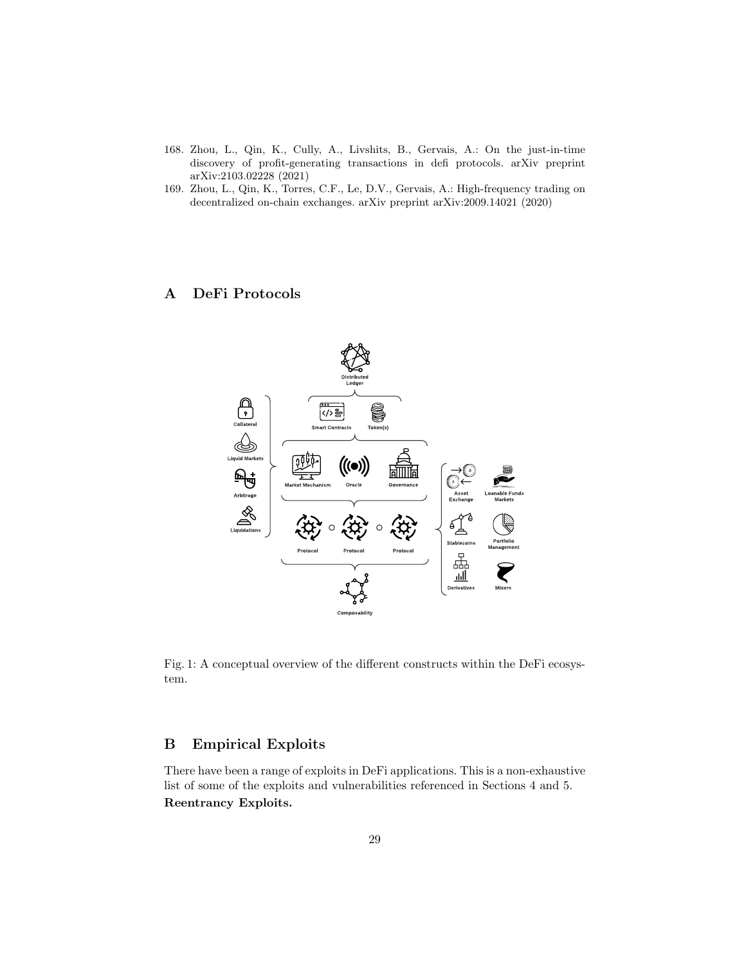- <span id="page-28-2"></span>168. Zhou, L., Qin, K., Cully, A., Livshits, B., Gervais, A.: On the just-in-time discovery of profit-generating transactions in defi protocols. arXiv preprint arXiv:2103.02228 (2021)
- <span id="page-28-1"></span>169. Zhou, L., Qin, K., Torres, C.F., Le, D.V., Gervais, A.: High-frequency trading on decentralized on-chain exchanges. arXiv preprint arXiv:2009.14021 (2020)

# <span id="page-28-0"></span>A DeFi Protocols



Fig. 1: A conceptual overview of the different constructs within the DeFi ecosystem.

# <span id="page-28-3"></span>B Empirical Exploits

There have been a range of exploits in DeFi applications. This is a non-exhaustive list of some of the exploits and vulnerabilities referenced in Sections [4](#page-7-0) and [5.](#page-11-0) Reentrancy Exploits.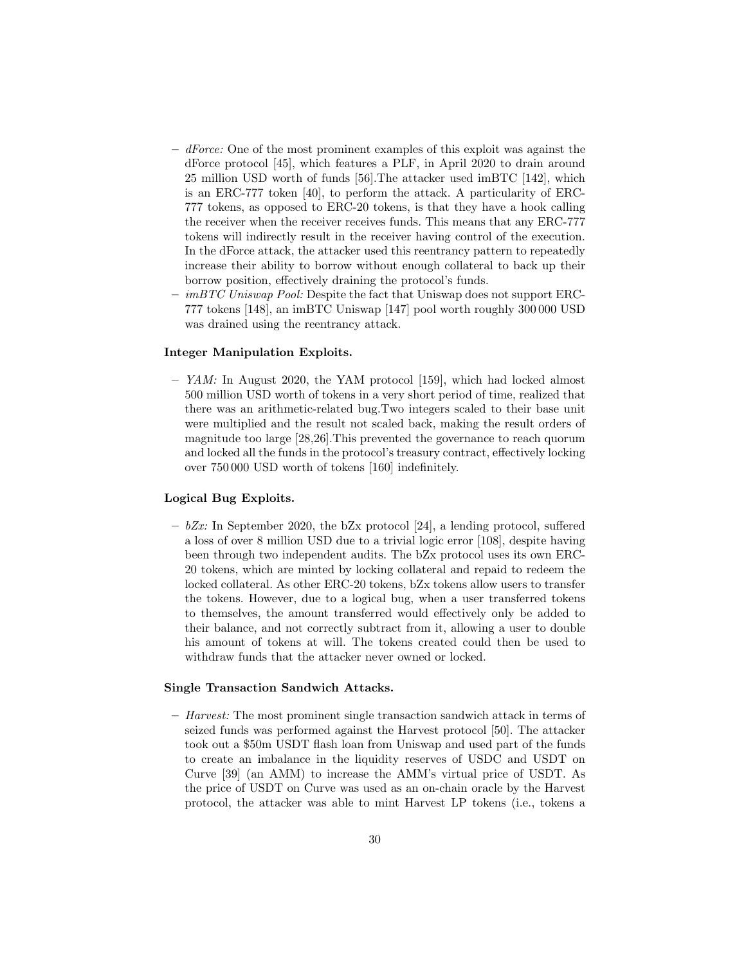- $-$  dForce: One of the most prominent examples of this exploit was against the dForce protocol [\[45\]](#page-22-9), which features a PLF, in April 2020 to drain around 25 million USD worth of funds [\[56\]](#page-22-14).The attacker used imBTC [\[142\]](#page-26-14), which is an ERC-777 token [\[40\]](#page-22-15), to perform the attack. A particularity of ERC-777 tokens, as opposed to ERC-20 tokens, is that they have a hook calling the receiver when the receiver receives funds. This means that any ERC-777 tokens will indirectly result in the receiver having control of the execution. In the dForce attack, the attacker used this reentrancy pattern to repeatedly increase their ability to borrow without enough collateral to back up their borrow position, effectively draining the protocol's funds.
- imBTC Uniswap Pool: Despite the fact that Uniswap does not support ERC-777 tokens [\[148\]](#page-27-9), an imBTC Uniswap [\[147\]](#page-27-0) pool worth roughly 300 000 USD was drained using the reentrancy attack.

#### Integer Manipulation Exploits.

– YAM: In August 2020, the YAM protocol [\[159\]](#page-27-19), which had locked almost 500 million USD worth of tokens in a very short period of time, realized that there was an arithmetic-related bug.Two integers scaled to their base unit were multiplied and the result not scaled back, making the result orders of magnitude too large [\[28,](#page-21-16)[26\]](#page-21-17).This prevented the governance to reach quorum and locked all the funds in the protocol's treasury contract, effectively locking over 750 000 USD worth of tokens [\[160\]](#page-27-20) indefinitely.

#### Logical Bug Exploits.

 $-$  bZx: In September 2020, the bZx protocol [\[24\]](#page-21-18), a lending protocol, suffered a loss of over 8 million USD due to a trivial logic error [\[108\]](#page-25-15), despite having been through two independent audits. The bZx protocol uses its own ERC-20 tokens, which are minted by locking collateral and repaid to redeem the locked collateral. As other ERC-20 tokens, bZx tokens allow users to transfer the tokens. However, due to a logical bug, when a user transferred tokens to themselves, the amount transferred would effectively only be added to their balance, and not correctly subtract from it, allowing a user to double his amount of tokens at will. The tokens created could then be used to withdraw funds that the attacker never owned or locked.

#### Single Transaction Sandwich Attacks.

 $-$  *Harvest:* The most prominent single transaction sandwich attack in terms of seized funds was performed against the Harvest protocol [\[50\]](#page-22-16). The attacker took out a \$50m USDT flash loan from Uniswap and used part of the funds to create an imbalance in the liquidity reserves of USDC and USDT on Curve [\[39\]](#page-21-4) (an AMM) to increase the AMM's virtual price of USDT. As the price of USDT on Curve was used as an on-chain oracle by the Harvest protocol, the attacker was able to mint Harvest LP tokens (i.e., tokens a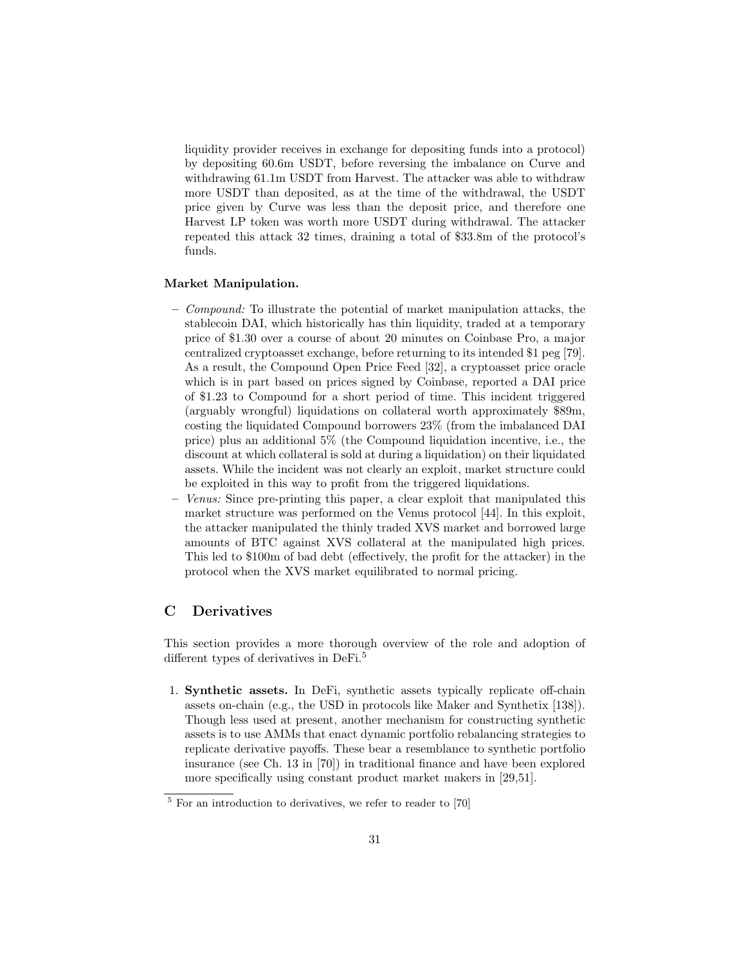liquidity provider receives in exchange for depositing funds into a protocol) by depositing 60.6m USDT, before reversing the imbalance on Curve and withdrawing 61.1m USDT from Harvest. The attacker was able to withdraw more USDT than deposited, as at the time of the withdrawal, the USDT price given by Curve was less than the deposit price, and therefore one Harvest LP token was worth more USDT during withdrawal. The attacker repeated this attack 32 times, draining a total of \$33.8m of the protocol's funds.

#### Market Manipulation.

- $-$  Compound: To illustrate the potential of market manipulation attacks, the stablecoin DAI, which historically has thin liquidity, traded at a temporary price of \$1.30 over a course of about 20 minutes on Coinbase Pro, a major centralized cryptoasset exchange, before returning to its intended \$1 peg [\[79\]](#page-23-16). As a result, the Compound Open Price Feed [\[32\]](#page-21-19), a cryptoasset price oracle which is in part based on prices signed by Coinbase, reported a DAI price of \$1.23 to Compound for a short period of time. This incident triggered (arguably wrongful) liquidations on collateral worth approximately \$89m, costing the liquidated Compound borrowers 23% (from the imbalanced DAI price) plus an additional 5% (the Compound liquidation incentive, i.e., the discount at which collateral is sold at during a liquidation) on their liquidated assets. While the incident was not clearly an exploit, market structure could be exploited in this way to profit from the triggered liquidations.
- Venus: Since pre-printing this paper, a clear exploit that manipulated this market structure was performed on the Venus protocol [\[44\]](#page-22-17). In this exploit, the attacker manipulated the thinly traded XVS market and borrowed large amounts of BTC against XVS collateral at the manipulated high prices. This led to \$100m of bad debt (effectively, the profit for the attacker) in the protocol when the XVS market equilibrated to normal pricing.

## <span id="page-30-0"></span>C Derivatives

This section provides a more thorough overview of the role and adoption of different types of derivatives in DeFi.[5](#page-30-1)

1. Synthetic assets. In DeFi, synthetic assets typically replicate off-chain assets on-chain (e.g., the USD in protocols like Maker and Synthetix [\[138\]](#page-26-3)). Though less used at present, another mechanism for constructing synthetic assets is to use AMMs that enact dynamic portfolio rebalancing strategies to replicate derivative payoffs. These bear a resemblance to synthetic portfolio insurance (see Ch. 13 in [\[70\]](#page-23-10)) in traditional finance and have been explored more specifically using constant product market makers in [\[29,](#page-21-20)[51\]](#page-22-18).

<span id="page-30-1"></span> $5$  For an introduction to derivatives, we refer to reader to  $[70]$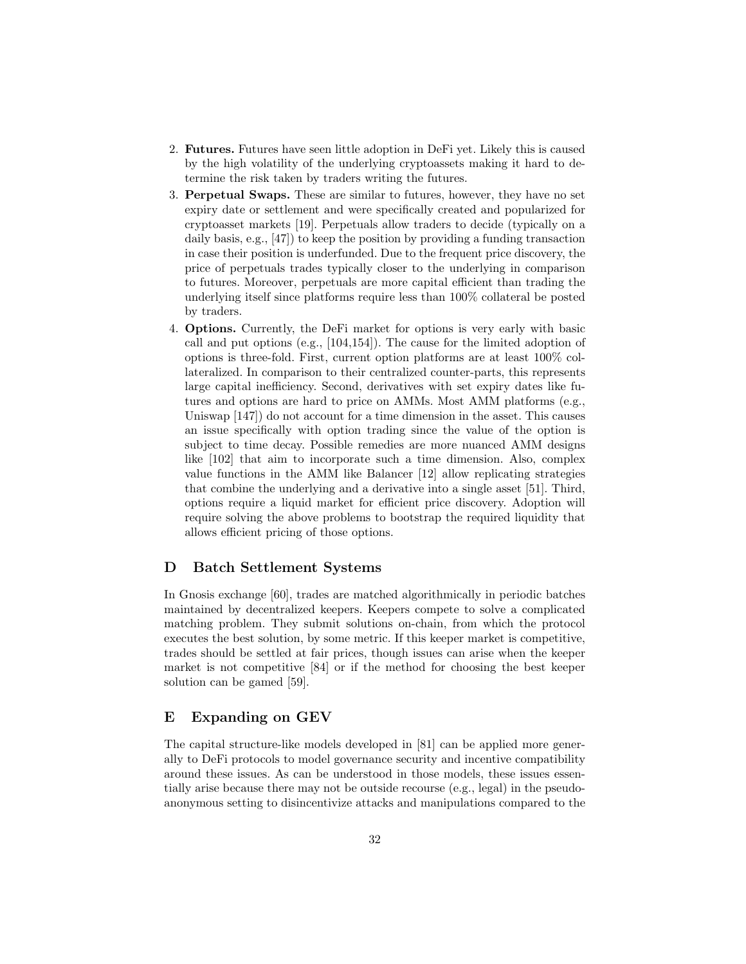- 2. Futures. Futures have seen little adoption in DeFi yet. Likely this is caused by the high volatility of the underlying cryptoassets making it hard to determine the risk taken by traders writing the futures.
- 3. Perpetual Swaps. These are similar to futures, however, they have no set expiry date or settlement and were specifically created and popularized for cryptoasset markets [\[19\]](#page-21-21). Perpetuals allow traders to decide (typically on a daily basis, e.g., [\[47\]](#page-22-8)) to keep the position by providing a funding transaction in case their position is underfunded. Due to the frequent price discovery, the price of perpetuals trades typically closer to the underlying in comparison to futures. Moreover, perpetuals are more capital efficient than trading the underlying itself since platforms require less than 100% collateral be posted by traders.
- 4. Options. Currently, the DeFi market for options is very early with basic call and put options (e.g., [\[104,](#page-25-5)[154\]](#page-27-12)). The cause for the limited adoption of options is three-fold. First, current option platforms are at least 100% collateralized. In comparison to their centralized counter-parts, this represents large capital inefficiency. Second, derivatives with set expiry dates like futures and options are hard to price on AMMs. Most AMM platforms (e.g., Uniswap [\[147\]](#page-27-0)) do not account for a time dimension in the asset. This causes an issue specifically with option trading since the value of the option is subject to time decay. Possible remedies are more nuanced AMM designs like [\[102\]](#page-25-16) that aim to incorporate such a time dimension. Also, complex value functions in the AMM like Balancer [\[12\]](#page-20-5) allow replicating strategies that combine the underlying and a derivative into a single asset [\[51\]](#page-22-18). Third, options require a liquid market for efficient price discovery. Adoption will require solving the above problems to bootstrap the required liquidity that allows efficient pricing of those options.

### <span id="page-31-0"></span>D Batch Settlement Systems

In Gnosis exchange [\[60\]](#page-22-5), trades are matched algorithmically in periodic batches maintained by decentralized keepers. Keepers compete to solve a complicated matching problem. They submit solutions on-chain, from which the protocol executes the best solution, by some metric. If this keeper market is competitive, trades should be settled at fair prices, though issues can arise when the keeper market is not competitive [\[84\]](#page-24-21) or if the method for choosing the best keeper solution can be gamed [\[59\]](#page-22-19).

## E Expanding on GEV

The capital structure-like models developed in [\[81\]](#page-24-6) can be applied more generally to DeFi protocols to model governance security and incentive compatibility around these issues. As can be understood in those models, these issues essentially arise because there may not be outside recourse (e.g., legal) in the pseudoanonymous setting to disincentivize attacks and manipulations compared to the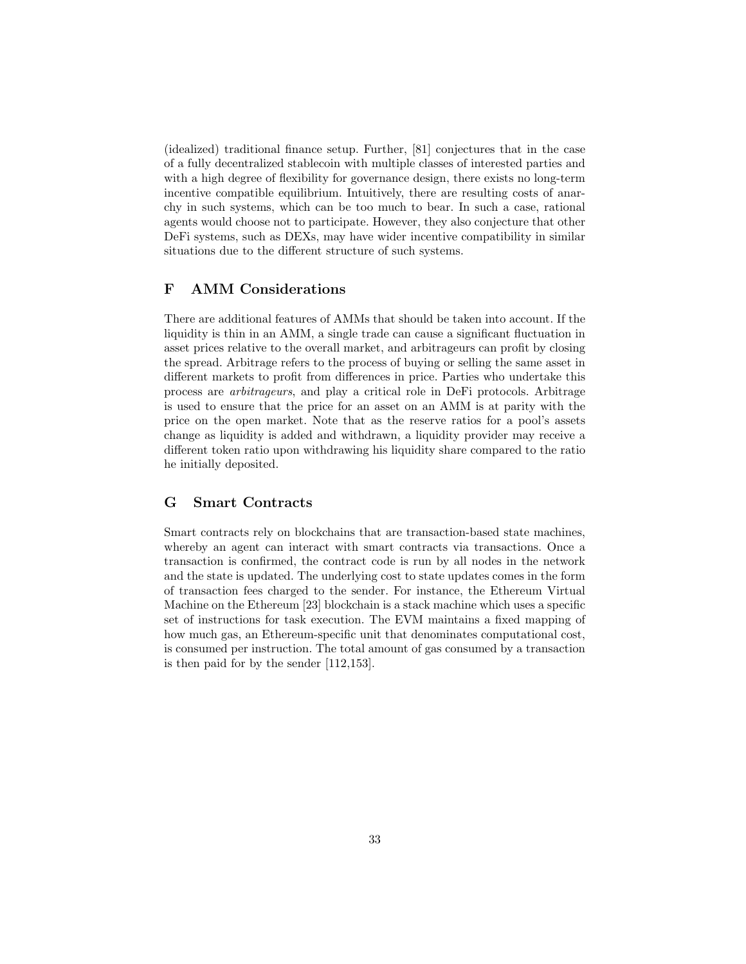(idealized) traditional finance setup. Further, [\[81\]](#page-24-6) conjectures that in the case of a fully decentralized stablecoin with multiple classes of interested parties and with a high degree of flexibility for governance design, there exists no long-term incentive compatible equilibrium. Intuitively, there are resulting costs of anarchy in such systems, which can be too much to bear. In such a case, rational agents would choose not to participate. However, they also conjecture that other DeFi systems, such as DEXs, may have wider incentive compatibility in similar situations due to the different structure of such systems.

## F AMM Considerations

There are additional features of AMMs that should be taken into account. If the liquidity is thin in an AMM, a single trade can cause a significant fluctuation in asset prices relative to the overall market, and arbitrageurs can profit by closing the spread. Arbitrage refers to the process of buying or selling the same asset in different markets to profit from differences in price. Parties who undertake this process are arbitrageurs, and play a critical role in DeFi protocols. Arbitrage is used to ensure that the price for an asset on an AMM is at parity with the price on the open market. Note that as the reserve ratios for a pool's assets change as liquidity is added and withdrawn, a liquidity provider may receive a different token ratio upon withdrawing his liquidity share compared to the ratio he initially deposited.

# <span id="page-32-0"></span>G Smart Contracts

Smart contracts rely on blockchains that are transaction-based state machines, whereby an agent can interact with smart contracts via transactions. Once a transaction is confirmed, the contract code is run by all nodes in the network and the state is updated. The underlying cost to state updates comes in the form of transaction fees charged to the sender. For instance, the Ethereum Virtual Machine on the Ethereum [\[23\]](#page-21-22) blockchain is a stack machine which uses a specific set of instructions for task execution. The EVM maintains a fixed mapping of how much gas, an Ethereum-specific unit that denominates computational cost, is consumed per instruction. The total amount of gas consumed by a transaction is then paid for by the sender [\[112,](#page-25-17)[153\]](#page-27-21).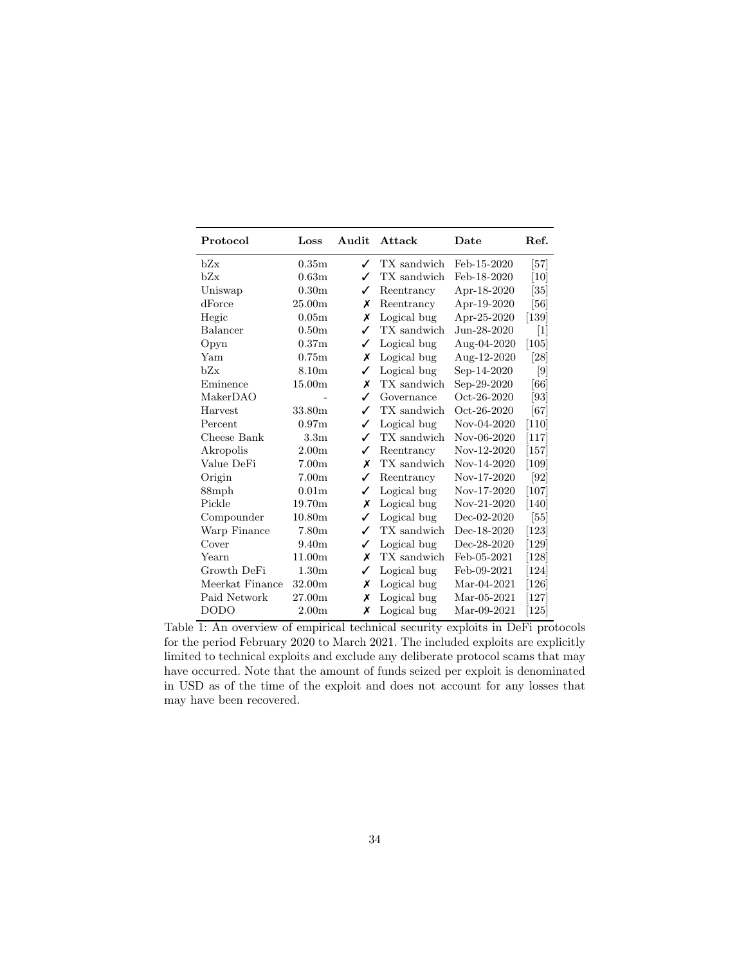<span id="page-33-0"></span>

| Protocol        | Loss               | Audit | Attack      | Date          | Ref.             |
|-----------------|--------------------|-------|-------------|---------------|------------------|
| hZx             | 0.35m              | ✓     | TX sandwich | Feb-15-2020   | $\vert 57 \vert$ |
| bZx             | 0.63 <sub>m</sub>  | ✓     | TX sandwich | Feb-18-2020   | $[10]$           |
| Uniswap         | 0.30 <sub>m</sub>  | ✓     | Reentrancy  | Apr-18-2020   | [35]             |
| dForce          | 25.00 <sub>m</sub> | х     | Reentrancy  | Apr-19-2020   | [56]             |
| Hegic           | 0.05 <sub>m</sub>  | Х     | Logical bug | Apr-25-2020   | $[139]$          |
| Balancer        | 0.50 <sub>m</sub>  | ✓     | TX sandwich | Jun-28-2020   | $[1]$            |
| Opyn            | 0.37m              | ✓     | Logical bug | Aug-04-2020   | [105]            |
| Yam             | 0.75m              | Х     | Logical bug | Aug-12-2020   | [28]             |
| bZx             | 8.10 <sub>m</sub>  | ✓     | Logical bug | Sep-14-2020   | [9]              |
| Eminence        | 15.00 <sub>m</sub> | Х     | TX sandwich | Sep-29-2020   | [66]             |
| MakerDAO        |                    | ✓     | Governance  | Oct-26-2020   | [93]             |
| Harvest         | 33.80 <sub>m</sub> | ✓     | TX sandwich | Oct-26-2020   | [67]             |
| Percent         | 0.97 <sub>m</sub>  | ✓     | Logical bug | Nov-04-2020   | [110]            |
| Cheese Bank     | 3.3 <sub>m</sub>   | ✓     | TX sandwich | Nov-06-2020   | $[117]$          |
| Akropolis       | 2.00 <sub>m</sub>  | ✓     | Reentrancy  | Nov-12-2020   | $[157]$          |
| Value DeFi      | 7.00 <sub>m</sub>  | х     | TX sandwich | Nov-14-2020   | $[109]$          |
| Origin          | 7.00 <sub>m</sub>  | ✓     | Reentrancy  | Nov-17-2020   | [92]             |
| 88mph           | 0.01 <sub>m</sub>  | ✓     | Logical bug | Nov-17-2020   | $[107]$          |
| Pickle          | 19.70 <sub>m</sub> | Х     | Logical bug | Nov-21-2020   | [140]            |
| Compounder      | 10.80 <sub>m</sub> | ✓     | Logical bug | $Dec-02-2020$ | [55]             |
| Warp Finance    | 7.80 <sub>m</sub>  | ✓     | TX sandwich | Dec-18-2020   | $[123]$          |
| Cover           | 9.40 <sub>m</sub>  | ✓     | Logical bug | Dec-28-2020   | $[129]$          |
| Yearn           | 11.00 <sub>m</sub> | х     | TX sandwich | Feb-05-2021   | $[128]$          |
| Growth DeFi     | 1.30 <sub>m</sub>  | ✓     | Logical bug | Feb-09-2021   | [124]            |
| Meerkat Finance | 32.00 <sub>m</sub> | х     | Logical bug | Mar-04-2021   | $[126]$          |
| Paid Network    | 27.00 <sub>m</sub> | х     | Logical bug | $Mar-05-2021$ | $[127]$          |
| <b>DODO</b>     | 2.00 <sub>m</sub>  | х     | Logical bug | Mar-09-2021   | $[125]$          |

Table 1: An overview of empirical technical security exploits in DeFi protocols for the period February 2020 to March 2021. The included exploits are explicitly limited to technical exploits and exclude any deliberate protocol scams that may have occurred. Note that the amount of funds seized per exploit is denominated in USD as of the time of the exploit and does not account for any losses that may have been recovered.